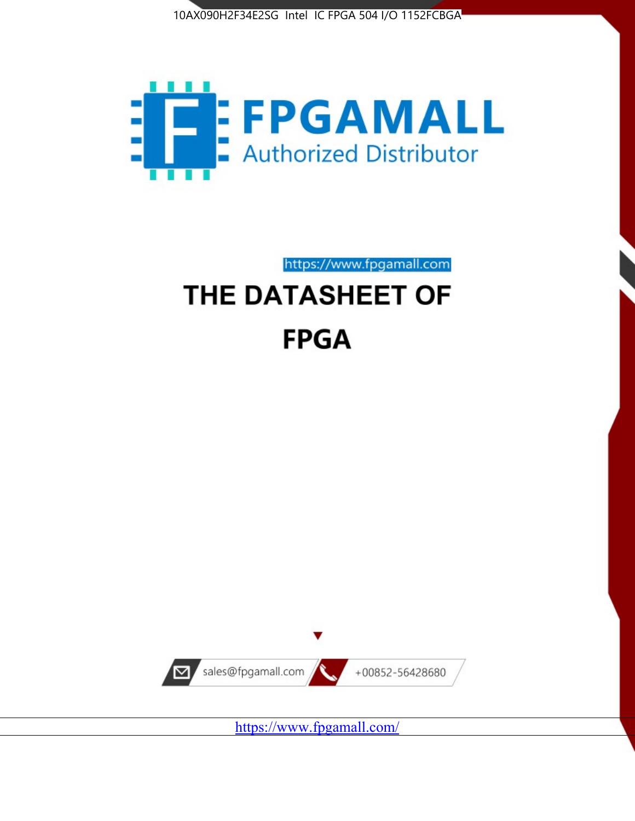



https://www.fpgamall.com

# THE DATASHEET OF **FPGA**



<https://www.fpgamall.com/>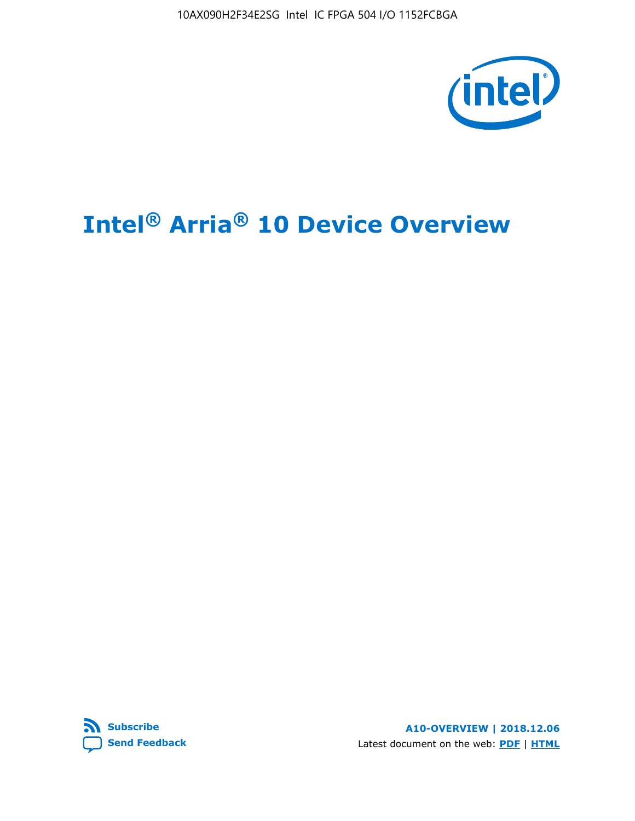10AX090H2F34E2SG Intel IC FPGA 504 I/O 1152FCBGA



# **Intel® Arria® 10 Device Overview**



**A10-OVERVIEW | 2018.12.06** Latest document on the web: **[PDF](https://www.intel.com/content/dam/www/programmable/us/en/pdfs/literature/hb/arria-10/a10_overview.pdf)** | **[HTML](https://www.intel.com/content/www/us/en/programmable/documentation/sam1403480274650.html)**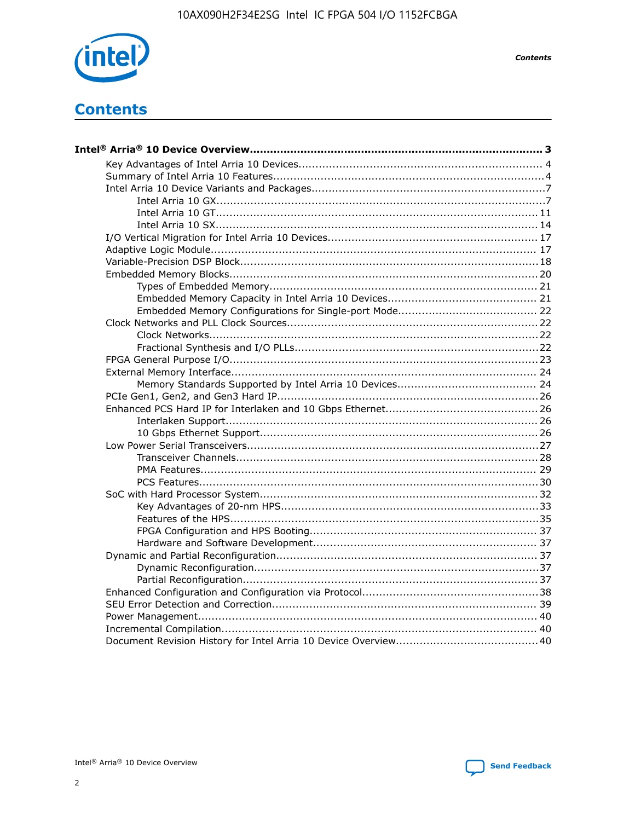

**Contents** 

# **Contents**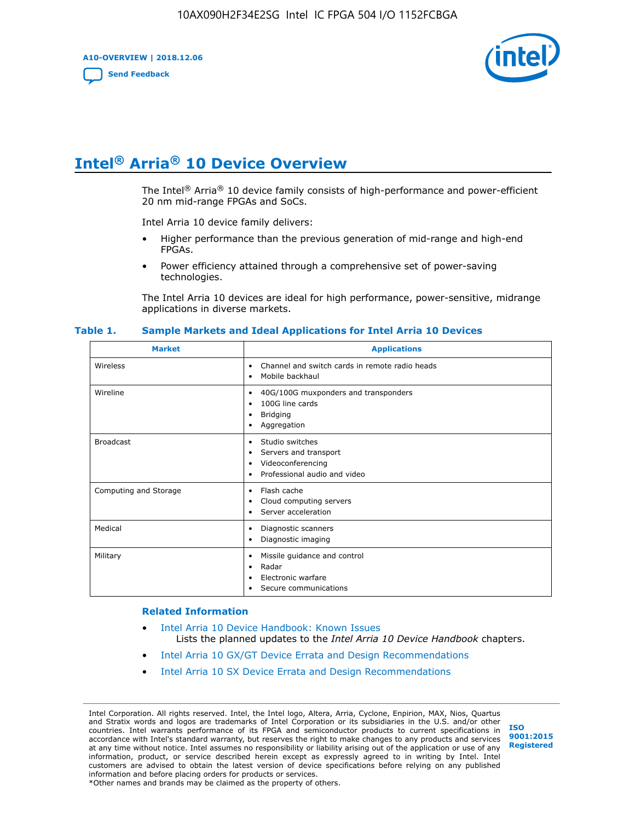**A10-OVERVIEW | 2018.12.06**

**[Send Feedback](mailto:FPGAtechdocfeedback@intel.com?subject=Feedback%20on%20Intel%20Arria%2010%20Device%20Overview%20(A10-OVERVIEW%202018.12.06)&body=We%20appreciate%20your%20feedback.%20In%20your%20comments,%20also%20specify%20the%20page%20number%20or%20paragraph.%20Thank%20you.)**



# **Intel® Arria® 10 Device Overview**

The Intel<sup>®</sup> Arria<sup>®</sup> 10 device family consists of high-performance and power-efficient 20 nm mid-range FPGAs and SoCs.

Intel Arria 10 device family delivers:

- Higher performance than the previous generation of mid-range and high-end FPGAs.
- Power efficiency attained through a comprehensive set of power-saving technologies.

The Intel Arria 10 devices are ideal for high performance, power-sensitive, midrange applications in diverse markets.

| <b>Market</b>         | <b>Applications</b>                                                                                               |
|-----------------------|-------------------------------------------------------------------------------------------------------------------|
| Wireless              | Channel and switch cards in remote radio heads<br>٠<br>Mobile backhaul<br>٠                                       |
| Wireline              | 40G/100G muxponders and transponders<br>٠<br>100G line cards<br>٠<br><b>Bridging</b><br>٠<br>Aggregation<br>٠     |
| <b>Broadcast</b>      | Studio switches<br>٠<br>Servers and transport<br>٠<br>Videoconferencing<br>٠<br>Professional audio and video<br>٠ |
| Computing and Storage | Flash cache<br>٠<br>Cloud computing servers<br>٠<br>Server acceleration<br>٠                                      |
| Medical               | Diagnostic scanners<br>٠<br>Diagnostic imaging<br>٠                                                               |
| Military              | Missile guidance and control<br>٠<br>Radar<br>٠<br>Electronic warfare<br>٠<br>Secure communications<br>٠          |

#### **Table 1. Sample Markets and Ideal Applications for Intel Arria 10 Devices**

#### **Related Information**

- [Intel Arria 10 Device Handbook: Known Issues](http://www.altera.com/support/kdb/solutions/rd07302013_646.html) Lists the planned updates to the *Intel Arria 10 Device Handbook* chapters.
- [Intel Arria 10 GX/GT Device Errata and Design Recommendations](https://www.intel.com/content/www/us/en/programmable/documentation/agz1493851706374.html#yqz1494433888646)
- [Intel Arria 10 SX Device Errata and Design Recommendations](https://www.intel.com/content/www/us/en/programmable/documentation/cru1462832385668.html#cru1462832558642)

Intel Corporation. All rights reserved. Intel, the Intel logo, Altera, Arria, Cyclone, Enpirion, MAX, Nios, Quartus and Stratix words and logos are trademarks of Intel Corporation or its subsidiaries in the U.S. and/or other countries. Intel warrants performance of its FPGA and semiconductor products to current specifications in accordance with Intel's standard warranty, but reserves the right to make changes to any products and services at any time without notice. Intel assumes no responsibility or liability arising out of the application or use of any information, product, or service described herein except as expressly agreed to in writing by Intel. Intel customers are advised to obtain the latest version of device specifications before relying on any published information and before placing orders for products or services. \*Other names and brands may be claimed as the property of others.

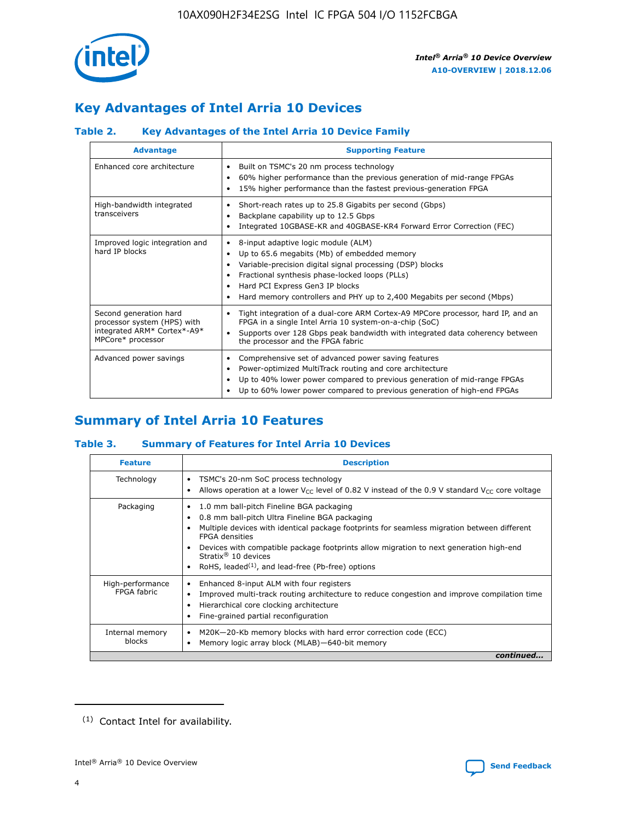

# **Key Advantages of Intel Arria 10 Devices**

## **Table 2. Key Advantages of the Intel Arria 10 Device Family**

| <b>Advantage</b>                                                                                          | <b>Supporting Feature</b>                                                                                                                                                                                                                                                                                                     |
|-----------------------------------------------------------------------------------------------------------|-------------------------------------------------------------------------------------------------------------------------------------------------------------------------------------------------------------------------------------------------------------------------------------------------------------------------------|
| Enhanced core architecture                                                                                | Built on TSMC's 20 nm process technology<br>٠<br>60% higher performance than the previous generation of mid-range FPGAs<br>٠<br>15% higher performance than the fastest previous-generation FPGA<br>٠                                                                                                                         |
| High-bandwidth integrated<br>transceivers                                                                 | Short-reach rates up to 25.8 Gigabits per second (Gbps)<br>٠<br>Backplane capability up to 12.5 Gbps<br>٠<br>Integrated 10GBASE-KR and 40GBASE-KR4 Forward Error Correction (FEC)<br>٠                                                                                                                                        |
| Improved logic integration and<br>hard IP blocks                                                          | 8-input adaptive logic module (ALM)<br>٠<br>Up to 65.6 megabits (Mb) of embedded memory<br>٠<br>Variable-precision digital signal processing (DSP) blocks<br>Fractional synthesis phase-locked loops (PLLs)<br>٠<br>Hard PCI Express Gen3 IP blocks<br>Hard memory controllers and PHY up to 2,400 Megabits per second (Mbps) |
| Second generation hard<br>processor system (HPS) with<br>integrated ARM* Cortex*-A9*<br>MPCore* processor | Tight integration of a dual-core ARM Cortex-A9 MPCore processor, hard IP, and an<br>٠<br>FPGA in a single Intel Arria 10 system-on-a-chip (SoC)<br>Supports over 128 Gbps peak bandwidth with integrated data coherency between<br>$\bullet$<br>the processor and the FPGA fabric                                             |
| Advanced power savings                                                                                    | Comprehensive set of advanced power saving features<br>٠<br>Power-optimized MultiTrack routing and core architecture<br>٠<br>Up to 40% lower power compared to previous generation of mid-range FPGAs<br>٠<br>Up to 60% lower power compared to previous generation of high-end FPGAs                                         |

# **Summary of Intel Arria 10 Features**

## **Table 3. Summary of Features for Intel Arria 10 Devices**

| <b>Feature</b>                  | <b>Description</b>                                                                                                                                                                                                                                                                                                                                                                                           |
|---------------------------------|--------------------------------------------------------------------------------------------------------------------------------------------------------------------------------------------------------------------------------------------------------------------------------------------------------------------------------------------------------------------------------------------------------------|
| Technology                      | TSMC's 20-nm SoC process technology<br>Allows operation at a lower $V_{\text{CC}}$ level of 0.82 V instead of the 0.9 V standard $V_{\text{CC}}$ core voltage                                                                                                                                                                                                                                                |
| Packaging                       | 1.0 mm ball-pitch Fineline BGA packaging<br>٠<br>0.8 mm ball-pitch Ultra Fineline BGA packaging<br>Multiple devices with identical package footprints for seamless migration between different<br><b>FPGA</b> densities<br>Devices with compatible package footprints allow migration to next generation high-end<br>Stratix <sup>®</sup> 10 devices<br>RoHS, leaded $(1)$ , and lead-free (Pb-free) options |
| High-performance<br>FPGA fabric | Enhanced 8-input ALM with four registers<br>Improved multi-track routing architecture to reduce congestion and improve compilation time<br>Hierarchical core clocking architecture<br>Fine-grained partial reconfiguration                                                                                                                                                                                   |
| Internal memory<br>blocks       | M20K-20-Kb memory blocks with hard error correction code (ECC)<br>Memory logic array block (MLAB)-640-bit memory                                                                                                                                                                                                                                                                                             |
|                                 | continued                                                                                                                                                                                                                                                                                                                                                                                                    |



<sup>(1)</sup> Contact Intel for availability.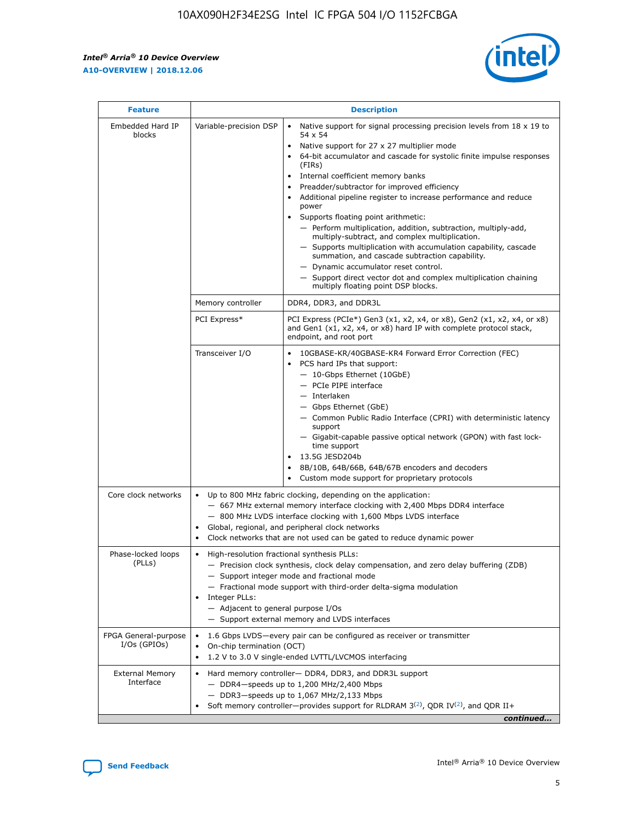r



| <b>Feature</b>                         | <b>Description</b>                                                                                             |                                                                                                                                                                                                                                                                                                                                                                                                                                                                                                                                                                                                                                                                                                                                                                                                                                        |  |  |  |  |  |
|----------------------------------------|----------------------------------------------------------------------------------------------------------------|----------------------------------------------------------------------------------------------------------------------------------------------------------------------------------------------------------------------------------------------------------------------------------------------------------------------------------------------------------------------------------------------------------------------------------------------------------------------------------------------------------------------------------------------------------------------------------------------------------------------------------------------------------------------------------------------------------------------------------------------------------------------------------------------------------------------------------------|--|--|--|--|--|
| Embedded Hard IP<br>blocks             | Variable-precision DSP                                                                                         | Native support for signal processing precision levels from $18 \times 19$ to<br>54 x 54<br>Native support for 27 x 27 multiplier mode<br>64-bit accumulator and cascade for systolic finite impulse responses<br>(FIRs)<br>Internal coefficient memory banks<br>$\bullet$<br>Preadder/subtractor for improved efficiency<br>Additional pipeline register to increase performance and reduce<br>power<br>Supports floating point arithmetic:<br>- Perform multiplication, addition, subtraction, multiply-add,<br>multiply-subtract, and complex multiplication.<br>- Supports multiplication with accumulation capability, cascade<br>summation, and cascade subtraction capability.<br>- Dynamic accumulator reset control.<br>- Support direct vector dot and complex multiplication chaining<br>multiply floating point DSP blocks. |  |  |  |  |  |
|                                        | Memory controller                                                                                              | DDR4, DDR3, and DDR3L                                                                                                                                                                                                                                                                                                                                                                                                                                                                                                                                                                                                                                                                                                                                                                                                                  |  |  |  |  |  |
|                                        | PCI Express*                                                                                                   | PCI Express (PCIe*) Gen3 (x1, x2, x4, or x8), Gen2 (x1, x2, x4, or x8)<br>and Gen1 (x1, x2, x4, or x8) hard IP with complete protocol stack,<br>endpoint, and root port                                                                                                                                                                                                                                                                                                                                                                                                                                                                                                                                                                                                                                                                |  |  |  |  |  |
|                                        | Transceiver I/O                                                                                                | 10GBASE-KR/40GBASE-KR4 Forward Error Correction (FEC)<br>PCS hard IPs that support:<br>$\bullet$<br>- 10-Gbps Ethernet (10GbE)<br>- PCIe PIPE interface<br>$-$ Interlaken<br>- Gbps Ethernet (GbE)<br>- Common Public Radio Interface (CPRI) with deterministic latency<br>support<br>- Gigabit-capable passive optical network (GPON) with fast lock-<br>time support<br>13.5G JESD204b<br>$\bullet$<br>8B/10B, 64B/66B, 64B/67B encoders and decoders<br>Custom mode support for proprietary protocols                                                                                                                                                                                                                                                                                                                               |  |  |  |  |  |
| Core clock networks                    | $\bullet$<br>$\bullet$                                                                                         | Up to 800 MHz fabric clocking, depending on the application:<br>- 667 MHz external memory interface clocking with 2,400 Mbps DDR4 interface<br>- 800 MHz LVDS interface clocking with 1,600 Mbps LVDS interface<br>Global, regional, and peripheral clock networks<br>Clock networks that are not used can be gated to reduce dynamic power                                                                                                                                                                                                                                                                                                                                                                                                                                                                                            |  |  |  |  |  |
| Phase-locked loops<br>(PLLs)           | High-resolution fractional synthesis PLLs:<br>$\bullet$<br>Integer PLLs:<br>- Adjacent to general purpose I/Os | - Precision clock synthesis, clock delay compensation, and zero delay buffering (ZDB)<br>- Support integer mode and fractional mode<br>- Fractional mode support with third-order delta-sigma modulation<br>- Support external memory and LVDS interfaces                                                                                                                                                                                                                                                                                                                                                                                                                                                                                                                                                                              |  |  |  |  |  |
| FPGA General-purpose<br>$I/Os$ (GPIOs) | On-chip termination (OCT)                                                                                      | 1.6 Gbps LVDS-every pair can be configured as receiver or transmitter<br>1.2 V to 3.0 V single-ended LVTTL/LVCMOS interfacing                                                                                                                                                                                                                                                                                                                                                                                                                                                                                                                                                                                                                                                                                                          |  |  |  |  |  |
| <b>External Memory</b><br>Interface    |                                                                                                                | Hard memory controller- DDR4, DDR3, and DDR3L support<br>$-$ DDR4-speeds up to 1,200 MHz/2,400 Mbps<br>- DDR3-speeds up to 1,067 MHz/2,133 Mbps<br>Soft memory controller—provides support for RLDRAM $3^{(2)}$ , QDR IV $^{(2)}$ , and QDR II+<br>continued                                                                                                                                                                                                                                                                                                                                                                                                                                                                                                                                                                           |  |  |  |  |  |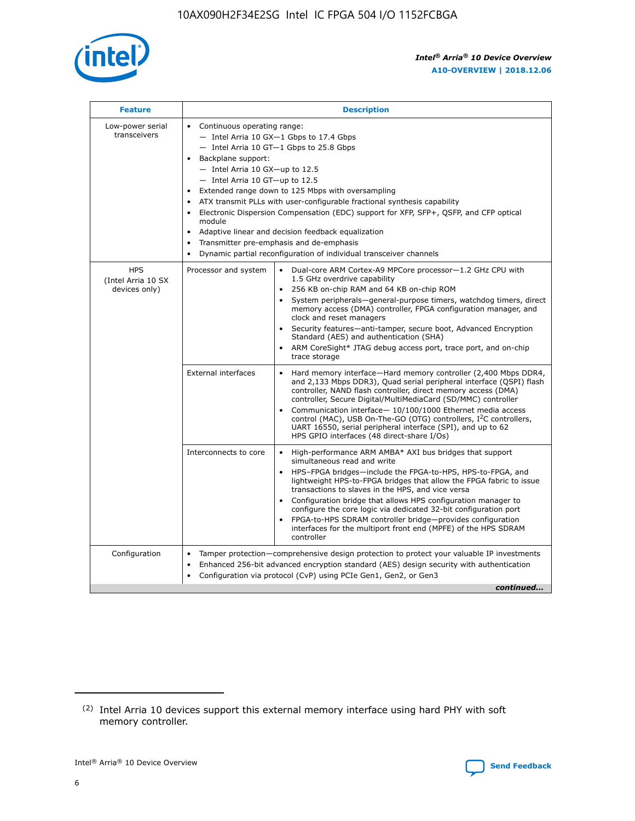

| <b>Feature</b>                                    | <b>Description</b>                                                                                                                                                                                                                                                                                                                                                                                                                                                                                                                                                                                                                             |
|---------------------------------------------------|------------------------------------------------------------------------------------------------------------------------------------------------------------------------------------------------------------------------------------------------------------------------------------------------------------------------------------------------------------------------------------------------------------------------------------------------------------------------------------------------------------------------------------------------------------------------------------------------------------------------------------------------|
| Low-power serial<br>transceivers                  | • Continuous operating range:<br>- Intel Arria 10 GX-1 Gbps to 17.4 Gbps<br>- Intel Arria 10 GT-1 Gbps to 25.8 Gbps<br>Backplane support:<br>$-$ Intel Arria 10 GX-up to 12.5<br>$-$ Intel Arria 10 GT-up to 12.5<br>Extended range down to 125 Mbps with oversampling<br>ATX transmit PLLs with user-configurable fractional synthesis capability<br>• Electronic Dispersion Compensation (EDC) support for XFP, SFP+, QSFP, and CFP optical<br>module<br>• Adaptive linear and decision feedback equalization<br>Transmitter pre-emphasis and de-emphasis<br>$\bullet$<br>Dynamic partial reconfiguration of individual transceiver channels |
| <b>HPS</b><br>(Intel Arria 10 SX<br>devices only) | Processor and system<br>Dual-core ARM Cortex-A9 MPCore processor-1.2 GHz CPU with<br>$\bullet$<br>1.5 GHz overdrive capability<br>256 KB on-chip RAM and 64 KB on-chip ROM<br>$\bullet$<br>System peripherals-general-purpose timers, watchdog timers, direct<br>memory access (DMA) controller, FPGA configuration manager, and<br>clock and reset managers<br>• Security features—anti-tamper, secure boot, Advanced Encryption<br>Standard (AES) and authentication (SHA)<br>ARM CoreSight* JTAG debug access port, trace port, and on-chip<br>trace storage                                                                                |
|                                                   | <b>External interfaces</b><br>Hard memory interface—Hard memory controller (2,400 Mbps DDR4,<br>$\bullet$<br>and 2,133 Mbps DDR3), Quad serial peripheral interface (QSPI) flash<br>controller, NAND flash controller, direct memory access (DMA)<br>controller, Secure Digital/MultiMediaCard (SD/MMC) controller<br>Communication interface-10/100/1000 Ethernet media access<br>control (MAC), USB On-The-GO (OTG) controllers, I <sup>2</sup> C controllers,<br>UART 16550, serial peripheral interface (SPI), and up to 62<br>HPS GPIO interfaces (48 direct-share I/Os)                                                                  |
|                                                   | High-performance ARM AMBA* AXI bus bridges that support<br>Interconnects to core<br>$\bullet$<br>simultaneous read and write<br>HPS-FPGA bridges—include the FPGA-to-HPS, HPS-to-FPGA, and<br>$\bullet$<br>lightweight HPS-to-FPGA bridges that allow the FPGA fabric to issue<br>transactions to slaves in the HPS, and vice versa<br>Configuration bridge that allows HPS configuration manager to<br>configure the core logic via dedicated 32-bit configuration port<br>FPGA-to-HPS SDRAM controller bridge-provides configuration<br>interfaces for the multiport front end (MPFE) of the HPS SDRAM<br>controller                         |
| Configuration                                     | Tamper protection—comprehensive design protection to protect your valuable IP investments<br>Enhanced 256-bit advanced encryption standard (AES) design security with authentication<br>$\bullet$<br>Configuration via protocol (CvP) using PCIe Gen1, Gen2, or Gen3<br>continued                                                                                                                                                                                                                                                                                                                                                              |

<sup>(2)</sup> Intel Arria 10 devices support this external memory interface using hard PHY with soft memory controller.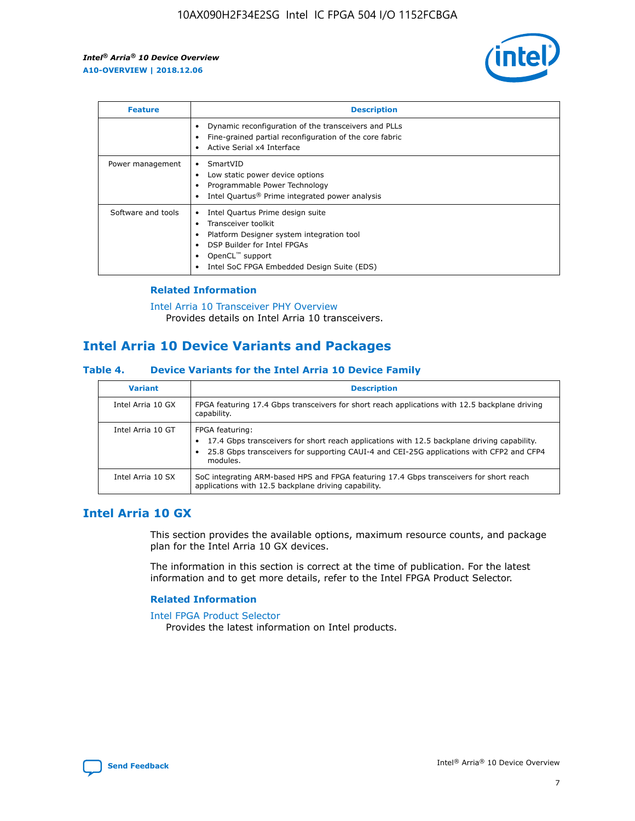

| <b>Feature</b>     | <b>Description</b>                                                                                                                                                                                                            |
|--------------------|-------------------------------------------------------------------------------------------------------------------------------------------------------------------------------------------------------------------------------|
|                    | Dynamic reconfiguration of the transceivers and PLLs<br>Fine-grained partial reconfiguration of the core fabric<br>Active Serial x4 Interface<br>$\bullet$                                                                    |
| Power management   | SmartVID<br>Low static power device options<br>Programmable Power Technology<br>Intel Quartus <sup>®</sup> Prime integrated power analysis                                                                                    |
| Software and tools | Intel Quartus Prime design suite<br>Transceiver toolkit<br>$\bullet$<br>Platform Designer system integration tool<br>DSP Builder for Intel FPGAs<br>OpenCL <sup>™</sup> support<br>Intel SoC FPGA Embedded Design Suite (EDS) |

## **Related Information**

[Intel Arria 10 Transceiver PHY Overview](https://www.intel.com/content/www/us/en/programmable/documentation/nik1398707230472.html#nik1398706768037) Provides details on Intel Arria 10 transceivers.

# **Intel Arria 10 Device Variants and Packages**

#### **Table 4. Device Variants for the Intel Arria 10 Device Family**

| <b>Variant</b>    | <b>Description</b>                                                                                                                                                                                                     |
|-------------------|------------------------------------------------------------------------------------------------------------------------------------------------------------------------------------------------------------------------|
| Intel Arria 10 GX | FPGA featuring 17.4 Gbps transceivers for short reach applications with 12.5 backplane driving<br>capability.                                                                                                          |
| Intel Arria 10 GT | FPGA featuring:<br>17.4 Gbps transceivers for short reach applications with 12.5 backplane driving capability.<br>25.8 Gbps transceivers for supporting CAUI-4 and CEI-25G applications with CFP2 and CFP4<br>modules. |
| Intel Arria 10 SX | SoC integrating ARM-based HPS and FPGA featuring 17.4 Gbps transceivers for short reach<br>applications with 12.5 backplane driving capability.                                                                        |

## **Intel Arria 10 GX**

This section provides the available options, maximum resource counts, and package plan for the Intel Arria 10 GX devices.

The information in this section is correct at the time of publication. For the latest information and to get more details, refer to the Intel FPGA Product Selector.

#### **Related Information**

#### [Intel FPGA Product Selector](http://www.altera.com/products/selector/psg-selector.html) Provides the latest information on Intel products.

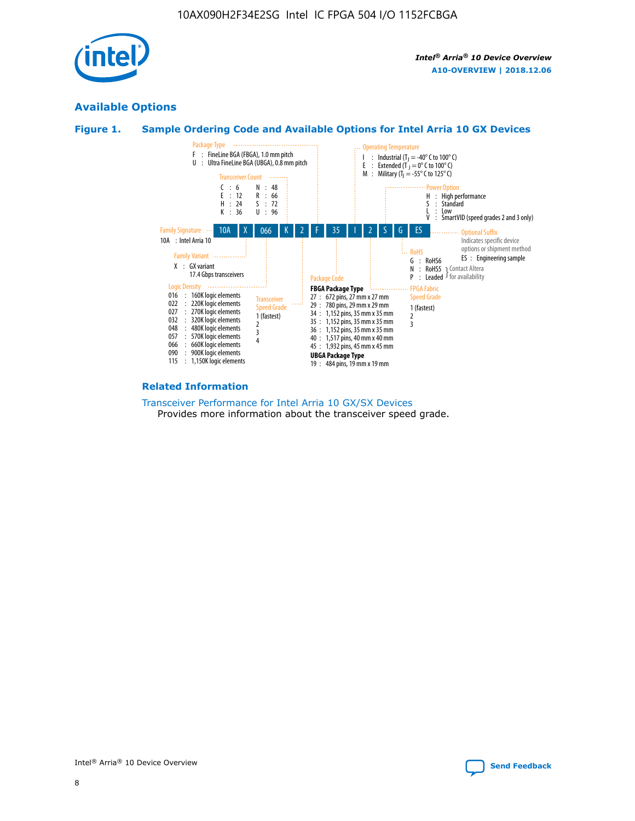

## **Available Options**

## **Figure 1. Sample Ordering Code and Available Options for Intel Arria 10 GX Devices**



#### **Related Information**

#### [Transceiver Performance for Intel Arria 10 GX/SX Devices](https://www.intel.com/content/www/us/en/programmable/documentation/mcn1413182292568.html#mcn1413213965502) Provides more information about the transceiver speed grade.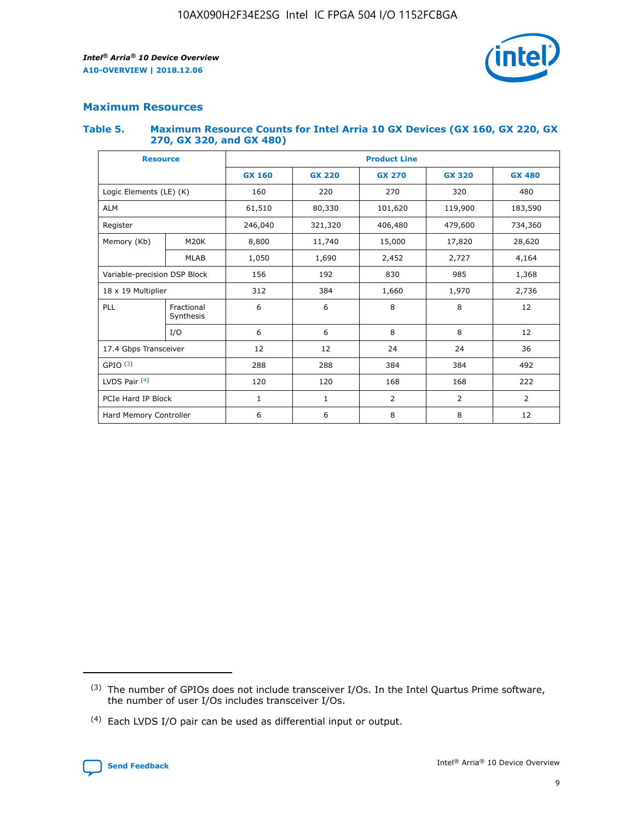

## **Maximum Resources**

#### **Table 5. Maximum Resource Counts for Intel Arria 10 GX Devices (GX 160, GX 220, GX 270, GX 320, and GX 480)**

| <b>Resource</b>         |                                                          | <b>Product Line</b> |                                |                |                |                |  |  |  |
|-------------------------|----------------------------------------------------------|---------------------|--------------------------------|----------------|----------------|----------------|--|--|--|
|                         |                                                          | <b>GX 160</b>       | <b>GX 220</b><br><b>GX 270</b> |                | <b>GX 320</b>  | <b>GX 480</b>  |  |  |  |
| Logic Elements (LE) (K) |                                                          | 160                 | 220                            | 270            | 320            | 480            |  |  |  |
| <b>ALM</b>              |                                                          | 61,510              | 80,330                         | 101,620        | 119,900        | 183,590        |  |  |  |
| Register                |                                                          | 246,040             | 321,320                        | 406,480        | 479,600        | 734,360        |  |  |  |
| Memory (Kb)             | M <sub>20</sub> K                                        | 8,800               | 11,740                         | 15,000         | 17,820         |                |  |  |  |
|                         | <b>MLAB</b>                                              | 1,050               | 1,690                          | 2,452          | 2,727          | 4,164          |  |  |  |
|                         | 192<br>830<br>985<br>Variable-precision DSP Block<br>156 |                     |                                |                | 1,368          |                |  |  |  |
| 18 x 19 Multiplier      |                                                          | 312                 | 384                            | 1,970<br>1,660 |                | 2,736          |  |  |  |
| PLL                     | Fractional<br>Synthesis                                  | 6                   | 6                              | 8              | 8              | 12             |  |  |  |
|                         | I/O                                                      | 6                   | 6                              | 8              | 8              | 12             |  |  |  |
| 17.4 Gbps Transceiver   |                                                          | 12                  | 12                             | 24             | 24             | 36             |  |  |  |
| GPIO <sup>(3)</sup>     |                                                          | 288                 | 288                            | 384<br>384     |                | 492            |  |  |  |
| LVDS Pair $(4)$         |                                                          | 120                 | 120                            | 168            | 168            | 222            |  |  |  |
| PCIe Hard IP Block      |                                                          | $\mathbf{1}$        | 1                              | $\overline{2}$ | $\overline{2}$ | $\overline{2}$ |  |  |  |
| Hard Memory Controller  |                                                          | 6                   | 6                              | 8              | 8              | 12             |  |  |  |

<sup>(4)</sup> Each LVDS I/O pair can be used as differential input or output.



<sup>(3)</sup> The number of GPIOs does not include transceiver I/Os. In the Intel Quartus Prime software, the number of user I/Os includes transceiver I/Os.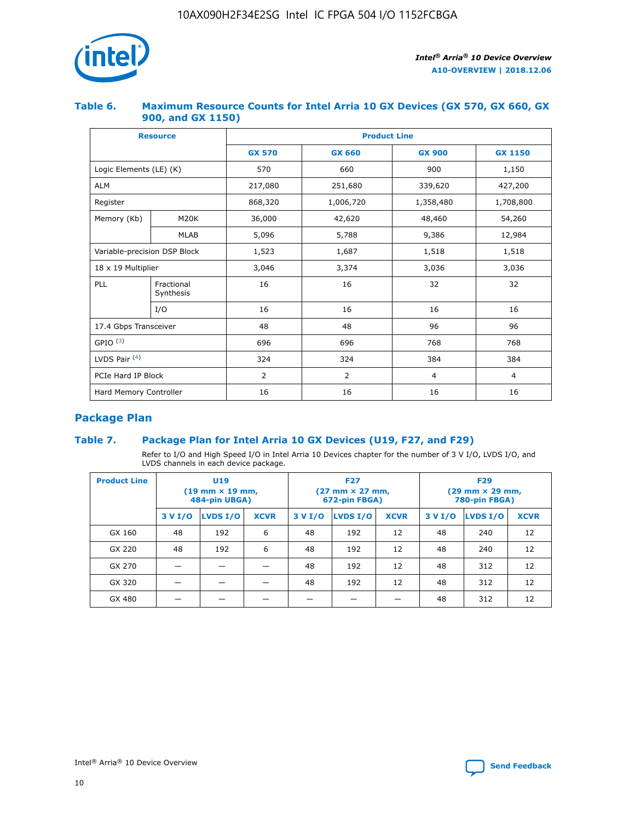

## **Table 6. Maximum Resource Counts for Intel Arria 10 GX Devices (GX 570, GX 660, GX 900, and GX 1150)**

|                              | <b>Resource</b>         | <b>Product Line</b> |               |                |                |  |  |  |
|------------------------------|-------------------------|---------------------|---------------|----------------|----------------|--|--|--|
|                              |                         | <b>GX 570</b>       | <b>GX 660</b> | <b>GX 900</b>  | <b>GX 1150</b> |  |  |  |
| Logic Elements (LE) (K)      |                         | 570                 | 660           | 900            | 1,150          |  |  |  |
| <b>ALM</b>                   |                         | 217,080             | 251,680       | 339,620        | 427,200        |  |  |  |
| Register                     |                         | 868,320             | 1,006,720     | 1,358,480      | 1,708,800      |  |  |  |
| Memory (Kb)                  | <b>M20K</b>             | 36,000              | 42,620        | 48,460         | 54,260         |  |  |  |
|                              | <b>MLAB</b>             | 5,096               | 5,788         | 9,386          | 12,984         |  |  |  |
| Variable-precision DSP Block |                         | 1,523               | 1,687         | 1,518          | 1,518          |  |  |  |
| $18 \times 19$ Multiplier    |                         | 3,046               | 3,374         | 3,036          | 3,036          |  |  |  |
| PLL                          | Fractional<br>Synthesis | 16                  | 16            | 32             | 32             |  |  |  |
|                              | I/O                     | 16                  | 16            | 16             | 16             |  |  |  |
| 17.4 Gbps Transceiver        |                         | 48                  | 48            | 96             | 96             |  |  |  |
| GPIO <sup>(3)</sup>          |                         | 696                 | 696           | 768            | 768            |  |  |  |
| LVDS Pair $(4)$              |                         | 324                 | 324           | 384            | 384            |  |  |  |
| PCIe Hard IP Block           |                         | 2                   | 2             | $\overline{4}$ | $\overline{4}$ |  |  |  |
| Hard Memory Controller       |                         | 16                  | 16            | 16             | 16             |  |  |  |

## **Package Plan**

## **Table 7. Package Plan for Intel Arria 10 GX Devices (U19, F27, and F29)**

Refer to I/O and High Speed I/O in Intel Arria 10 Devices chapter for the number of 3 V I/O, LVDS I/O, and LVDS channels in each device package.

| <b>Product Line</b> | U <sub>19</sub><br>$(19 \text{ mm} \times 19 \text{ mm})$<br>484-pin UBGA) |          |             |         | <b>F27</b><br>(27 mm × 27 mm,<br>672-pin FBGA) |             | <b>F29</b><br>(29 mm × 29 mm,<br>780-pin FBGA) |          |             |  |
|---------------------|----------------------------------------------------------------------------|----------|-------------|---------|------------------------------------------------|-------------|------------------------------------------------|----------|-------------|--|
|                     | 3 V I/O                                                                    | LVDS I/O | <b>XCVR</b> | 3 V I/O | <b>LVDS I/O</b>                                | <b>XCVR</b> | 3 V I/O                                        | LVDS I/O | <b>XCVR</b> |  |
| GX 160              | 48                                                                         | 192      | 6           | 48      | 192                                            | 12          | 48                                             | 240      | 12          |  |
| GX 220              | 48                                                                         | 192      | 6           | 48      | 192                                            | 12          | 48                                             | 240      | 12          |  |
| GX 270              |                                                                            |          |             | 48      | 192                                            | 12          | 48                                             | 312      | 12          |  |
| GX 320              |                                                                            |          |             | 48      | 192                                            | 12          | 48                                             | 312      | 12          |  |
| GX 480              |                                                                            |          |             |         |                                                |             | 48                                             | 312      | 12          |  |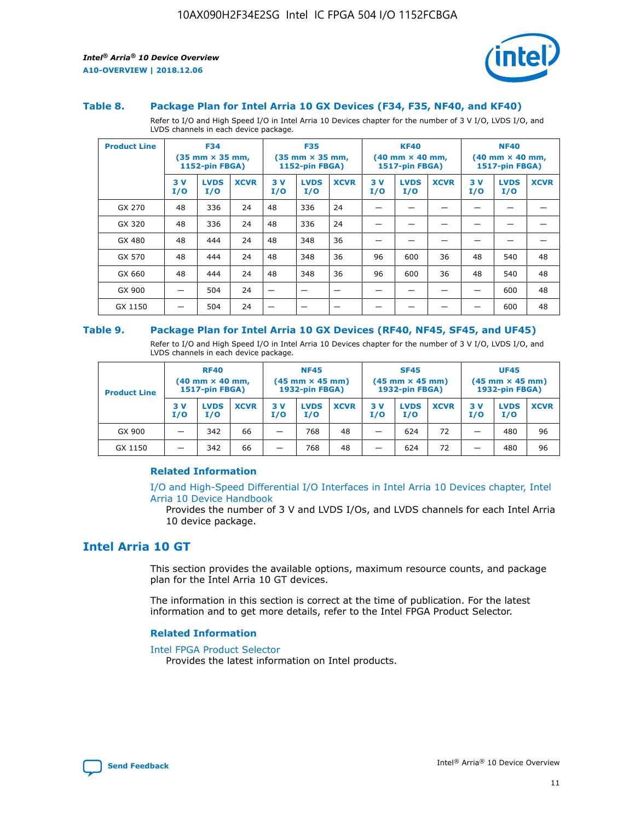

#### **Table 8. Package Plan for Intel Arria 10 GX Devices (F34, F35, NF40, and KF40)**

Refer to I/O and High Speed I/O in Intel Arria 10 Devices chapter for the number of 3 V I/O, LVDS I/O, and LVDS channels in each device package.

| <b>Product Line</b> | <b>F34</b><br>$(35 \text{ mm} \times 35 \text{ mm})$<br>1152-pin FBGA) |                    | <b>F35</b><br>$(35 \text{ mm} \times 35 \text{ mm})$<br><b>1152-pin FBGA)</b> |           | <b>KF40</b><br>$(40$ mm $\times$ 40 mm,<br>1517-pin FBGA) |             |           | <b>NF40</b><br>$(40$ mm $\times$ 40 mm,<br><b>1517-pin FBGA)</b> |             |            |                    |             |
|---------------------|------------------------------------------------------------------------|--------------------|-------------------------------------------------------------------------------|-----------|-----------------------------------------------------------|-------------|-----------|------------------------------------------------------------------|-------------|------------|--------------------|-------------|
|                     | 3V<br>I/O                                                              | <b>LVDS</b><br>I/O | <b>XCVR</b>                                                                   | 3V<br>I/O | <b>LVDS</b><br>I/O                                        | <b>XCVR</b> | 3V<br>I/O | <b>LVDS</b><br>I/O                                               | <b>XCVR</b> | 3 V<br>I/O | <b>LVDS</b><br>I/O | <b>XCVR</b> |
| GX 270              | 48                                                                     | 336                | 24                                                                            | 48        | 336                                                       | 24          |           |                                                                  |             |            |                    |             |
| GX 320              | 48                                                                     | 336                | 24                                                                            | 48        | 336                                                       | 24          |           |                                                                  |             |            |                    |             |
| GX 480              | 48                                                                     | 444                | 24                                                                            | 48        | 348                                                       | 36          |           |                                                                  |             |            |                    |             |
| GX 570              | 48                                                                     | 444                | 24                                                                            | 48        | 348                                                       | 36          | 96        | 600                                                              | 36          | 48         | 540                | 48          |
| GX 660              | 48                                                                     | 444                | 24                                                                            | 48        | 348                                                       | 36          | 96        | 600                                                              | 36          | 48         | 540                | 48          |
| GX 900              |                                                                        | 504                | 24                                                                            | -         |                                                           |             |           |                                                                  |             |            | 600                | 48          |
| GX 1150             |                                                                        | 504                | 24                                                                            |           |                                                           |             |           |                                                                  |             |            | 600                | 48          |

#### **Table 9. Package Plan for Intel Arria 10 GX Devices (RF40, NF45, SF45, and UF45)**

Refer to I/O and High Speed I/O in Intel Arria 10 Devices chapter for the number of 3 V I/O, LVDS I/O, and LVDS channels in each device package.

| <b>Product Line</b> | <b>RF40</b><br>$(40$ mm $\times$ 40 mm,<br>1517-pin FBGA) |                    |             | <b>NF45</b><br>$(45 \text{ mm} \times 45 \text{ mm})$<br><b>1932-pin FBGA)</b> |                    |             | <b>SF45</b><br>$(45 \text{ mm} \times 45 \text{ mm})$<br><b>1932-pin FBGA)</b> |                    |             | <b>UF45</b><br>$(45 \text{ mm} \times 45 \text{ mm})$<br><b>1932-pin FBGA)</b> |                    |             |
|---------------------|-----------------------------------------------------------|--------------------|-------------|--------------------------------------------------------------------------------|--------------------|-------------|--------------------------------------------------------------------------------|--------------------|-------------|--------------------------------------------------------------------------------|--------------------|-------------|
|                     | 3V<br>I/O                                                 | <b>LVDS</b><br>I/O | <b>XCVR</b> | 3 V<br>I/O                                                                     | <b>LVDS</b><br>I/O | <b>XCVR</b> | 3 V<br>I/O                                                                     | <b>LVDS</b><br>I/O | <b>XCVR</b> | 3V<br>I/O                                                                      | <b>LVDS</b><br>I/O | <b>XCVR</b> |
| GX 900              |                                                           | 342                | 66          | _                                                                              | 768                | 48          |                                                                                | 624                | 72          |                                                                                | 480                | 96          |
| GX 1150             |                                                           | 342                | 66          | _                                                                              | 768                | 48          |                                                                                | 624                | 72          |                                                                                | 480                | 96          |

#### **Related Information**

[I/O and High-Speed Differential I/O Interfaces in Intel Arria 10 Devices chapter, Intel](https://www.intel.com/content/www/us/en/programmable/documentation/sam1403482614086.html#sam1403482030321) [Arria 10 Device Handbook](https://www.intel.com/content/www/us/en/programmable/documentation/sam1403482614086.html#sam1403482030321)

Provides the number of 3 V and LVDS I/Os, and LVDS channels for each Intel Arria 10 device package.

## **Intel Arria 10 GT**

This section provides the available options, maximum resource counts, and package plan for the Intel Arria 10 GT devices.

The information in this section is correct at the time of publication. For the latest information and to get more details, refer to the Intel FPGA Product Selector.

#### **Related Information**

#### [Intel FPGA Product Selector](http://www.altera.com/products/selector/psg-selector.html)

Provides the latest information on Intel products.

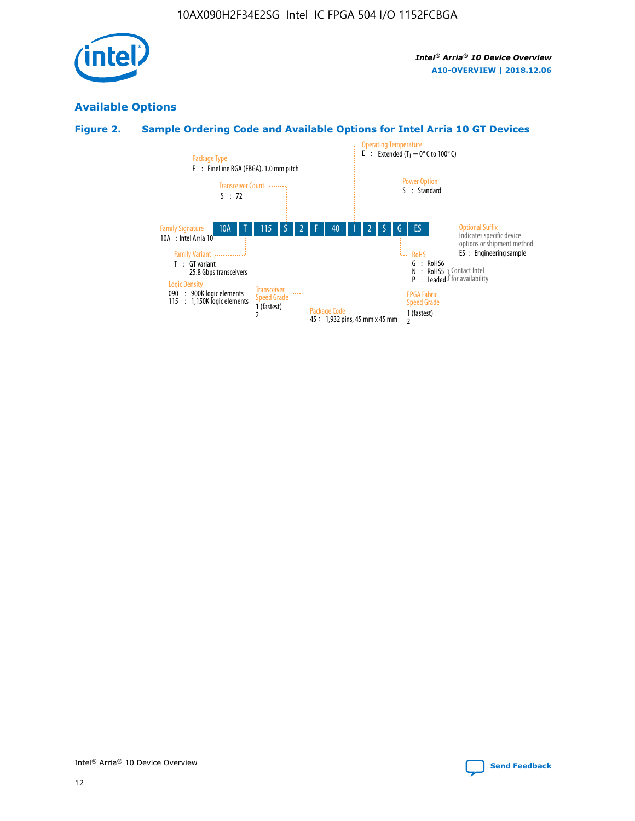

## **Available Options**

## **Figure 2. Sample Ordering Code and Available Options for Intel Arria 10 GT Devices**

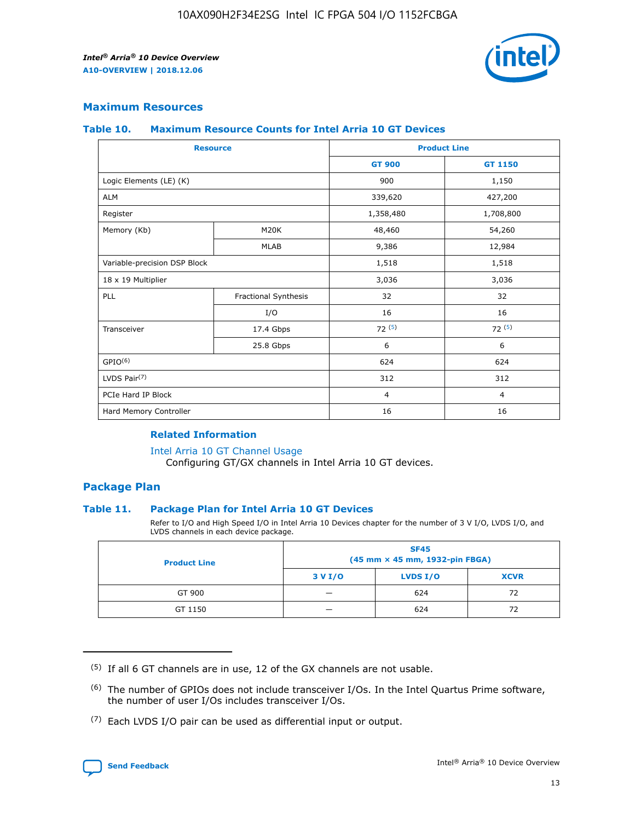

## **Maximum Resources**

#### **Table 10. Maximum Resource Counts for Intel Arria 10 GT Devices**

| <b>Resource</b>              |                      | <b>Product Line</b> |                |  |
|------------------------------|----------------------|---------------------|----------------|--|
|                              |                      | <b>GT 900</b>       | <b>GT 1150</b> |  |
| Logic Elements (LE) (K)      |                      | 900                 | 1,150          |  |
| <b>ALM</b>                   |                      | 339,620             | 427,200        |  |
| Register                     |                      | 1,358,480           | 1,708,800      |  |
| Memory (Kb)                  | M20K                 | 48,460              | 54,260         |  |
|                              | <b>MLAB</b>          | 9,386               | 12,984         |  |
| Variable-precision DSP Block |                      | 1,518               | 1,518          |  |
| 18 x 19 Multiplier           |                      | 3,036               | 3,036          |  |
| PLL                          | Fractional Synthesis | 32                  | 32             |  |
|                              | I/O                  | 16                  | 16             |  |
| Transceiver                  | 17.4 Gbps            | 72(5)               | 72(5)          |  |
|                              | 25.8 Gbps            | 6                   | 6              |  |
| GPIO <sup>(6)</sup>          |                      | 624                 | 624            |  |
| LVDS Pair $(7)$              |                      | 312                 | 312            |  |
| PCIe Hard IP Block           |                      | $\overline{4}$      | $\overline{4}$ |  |
| Hard Memory Controller       |                      | 16                  | 16             |  |

#### **Related Information**

#### [Intel Arria 10 GT Channel Usage](https://www.intel.com/content/www/us/en/programmable/documentation/nik1398707230472.html#nik1398707008178)

Configuring GT/GX channels in Intel Arria 10 GT devices.

## **Package Plan**

#### **Table 11. Package Plan for Intel Arria 10 GT Devices**

Refer to I/O and High Speed I/O in Intel Arria 10 Devices chapter for the number of 3 V I/O, LVDS I/O, and LVDS channels in each device package.

| <b>Product Line</b> | <b>SF45</b><br>(45 mm × 45 mm, 1932-pin FBGA) |                 |             |  |  |  |
|---------------------|-----------------------------------------------|-----------------|-------------|--|--|--|
|                     | 3 V I/O                                       | <b>LVDS I/O</b> | <b>XCVR</b> |  |  |  |
| GT 900              |                                               | 624             | 72          |  |  |  |
| GT 1150             |                                               | 624             | 72          |  |  |  |

<sup>(7)</sup> Each LVDS I/O pair can be used as differential input or output.



 $(5)$  If all 6 GT channels are in use, 12 of the GX channels are not usable.

<sup>(6)</sup> The number of GPIOs does not include transceiver I/Os. In the Intel Quartus Prime software, the number of user I/Os includes transceiver I/Os.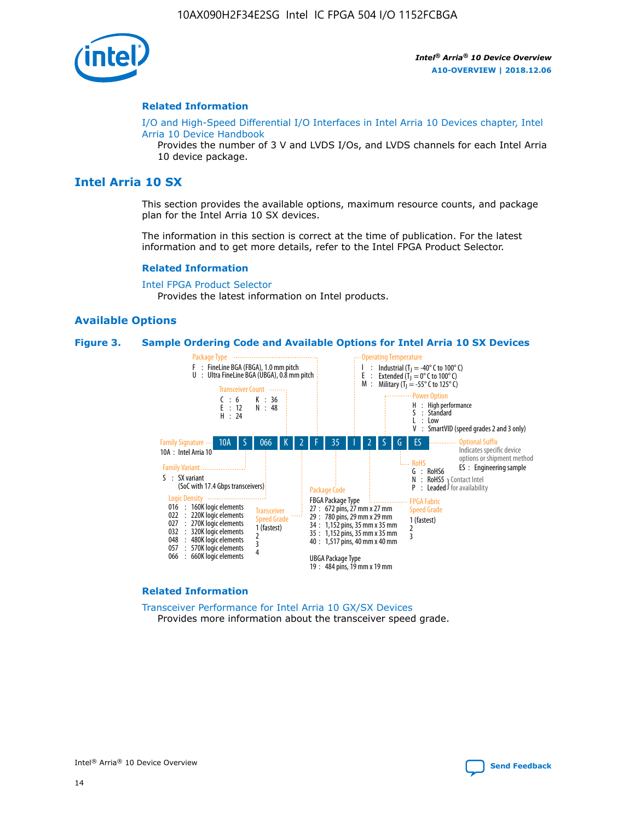

#### **Related Information**

[I/O and High-Speed Differential I/O Interfaces in Intel Arria 10 Devices chapter, Intel](https://www.intel.com/content/www/us/en/programmable/documentation/sam1403482614086.html#sam1403482030321) [Arria 10 Device Handbook](https://www.intel.com/content/www/us/en/programmable/documentation/sam1403482614086.html#sam1403482030321)

Provides the number of 3 V and LVDS I/Os, and LVDS channels for each Intel Arria 10 device package.

## **Intel Arria 10 SX**

This section provides the available options, maximum resource counts, and package plan for the Intel Arria 10 SX devices.

The information in this section is correct at the time of publication. For the latest information and to get more details, refer to the Intel FPGA Product Selector.

#### **Related Information**

[Intel FPGA Product Selector](http://www.altera.com/products/selector/psg-selector.html) Provides the latest information on Intel products.

#### **Available Options**

#### **Figure 3. Sample Ordering Code and Available Options for Intel Arria 10 SX Devices**



#### **Related Information**

[Transceiver Performance for Intel Arria 10 GX/SX Devices](https://www.intel.com/content/www/us/en/programmable/documentation/mcn1413182292568.html#mcn1413213965502) Provides more information about the transceiver speed grade.

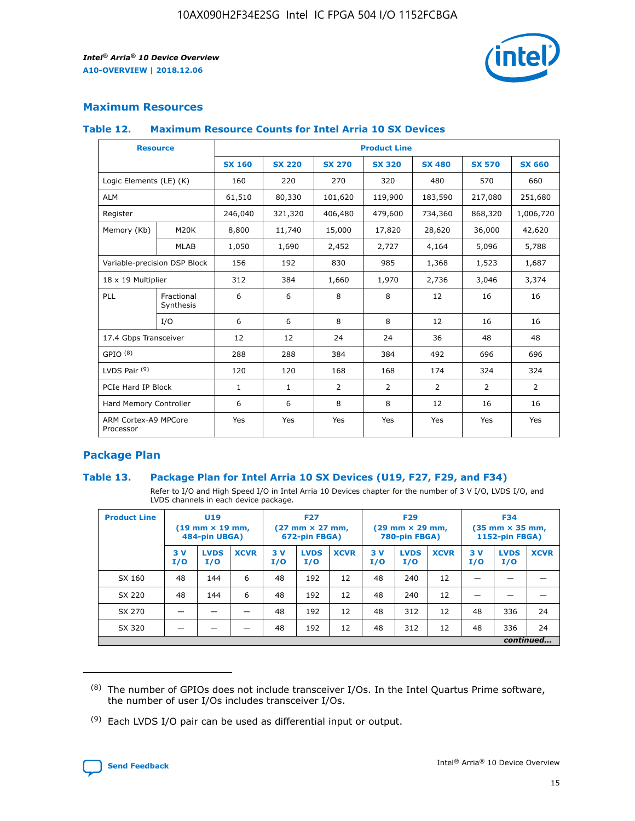

## **Maximum Resources**

#### **Table 12. Maximum Resource Counts for Intel Arria 10 SX Devices**

| <b>Resource</b>                   |                         | <b>Product Line</b> |               |                |                |                |                |                |  |  |  |
|-----------------------------------|-------------------------|---------------------|---------------|----------------|----------------|----------------|----------------|----------------|--|--|--|
|                                   |                         | <b>SX 160</b>       | <b>SX 220</b> | <b>SX 270</b>  | <b>SX 320</b>  | <b>SX 480</b>  | <b>SX 570</b>  | <b>SX 660</b>  |  |  |  |
| Logic Elements (LE) (K)           |                         | 160                 | 220           | 270            | 320            | 480            | 570            | 660            |  |  |  |
| <b>ALM</b>                        |                         | 61,510              | 80,330        | 101,620        | 119,900        | 183,590        | 217,080        | 251,680        |  |  |  |
| Register                          |                         | 246,040             | 321,320       | 406,480        | 479,600        | 734,360        | 868,320        | 1,006,720      |  |  |  |
| Memory (Kb)                       | M <sub>20</sub> K       | 8,800               | 11,740        | 15,000         | 17,820         | 28,620         | 36,000         | 42,620         |  |  |  |
|                                   | <b>MLAB</b>             | 1,050               | 1,690         | 2,452          | 2,727          | 4,164          | 5,096          | 5,788          |  |  |  |
| Variable-precision DSP Block      |                         | 156                 | 192           | 830            | 985            | 1,368          | 1,523          | 1,687          |  |  |  |
| 18 x 19 Multiplier                |                         | 312                 | 384           | 1,660          | 1,970          | 2,736          | 3,046          | 3,374          |  |  |  |
| PLL                               | Fractional<br>Synthesis | 6                   | 6             | 8              | 8              | 12             | 16             | 16             |  |  |  |
|                                   | I/O                     | 6                   | 6             | 8              | 8              | 12             | 16             | 16             |  |  |  |
| 17.4 Gbps Transceiver             |                         | 12                  | 12            | 24             | 24             | 36             | 48             | 48             |  |  |  |
| GPIO <sup>(8)</sup>               |                         | 288                 | 288           | 384            | 384            | 492            | 696            | 696            |  |  |  |
| LVDS Pair $(9)$                   |                         | 120                 | 120           | 168            | 168            | 174            | 324            | 324            |  |  |  |
| PCIe Hard IP Block                |                         | $\mathbf{1}$        | $\mathbf{1}$  | $\overline{2}$ | $\overline{2}$ | $\overline{2}$ | $\overline{2}$ | $\overline{2}$ |  |  |  |
| Hard Memory Controller            |                         | 6                   | 6             | 8              | 8              | 12             | 16             | 16             |  |  |  |
| ARM Cortex-A9 MPCore<br>Processor |                         | Yes                 | Yes           | Yes            | Yes            | Yes            | Yes            | <b>Yes</b>     |  |  |  |

## **Package Plan**

#### **Table 13. Package Plan for Intel Arria 10 SX Devices (U19, F27, F29, and F34)**

Refer to I/O and High Speed I/O in Intel Arria 10 Devices chapter for the number of 3 V I/O, LVDS I/O, and LVDS channels in each device package.

| <b>Product Line</b> | U19<br>$(19 \text{ mm} \times 19 \text{ mm})$<br>484-pin UBGA) |                    | <b>F27</b><br>$(27 \text{ mm} \times 27 \text{ mm})$<br>672-pin FBGA) |           | <b>F29</b><br>$(29 \text{ mm} \times 29 \text{ mm})$<br>780-pin FBGA) |             |            | <b>F34</b><br>$(35 \text{ mm} \times 35 \text{ mm})$<br><b>1152-pin FBGA)</b> |             |           |                    |             |
|---------------------|----------------------------------------------------------------|--------------------|-----------------------------------------------------------------------|-----------|-----------------------------------------------------------------------|-------------|------------|-------------------------------------------------------------------------------|-------------|-----------|--------------------|-------------|
|                     | 3V<br>I/O                                                      | <b>LVDS</b><br>I/O | <b>XCVR</b>                                                           | 3V<br>I/O | <b>LVDS</b><br>I/O                                                    | <b>XCVR</b> | 3 V<br>I/O | <b>LVDS</b><br>I/O                                                            | <b>XCVR</b> | 3V<br>I/O | <b>LVDS</b><br>I/O | <b>XCVR</b> |
| SX 160              | 48                                                             | 144                | 6                                                                     | 48        | 192                                                                   | 12          | 48         | 240                                                                           | 12          | –         |                    |             |
| SX 220              | 48                                                             | 144                | 6                                                                     | 48        | 192                                                                   | 12          | 48         | 240                                                                           | 12          |           |                    |             |
| SX 270              |                                                                |                    |                                                                       | 48        | 192                                                                   | 12          | 48         | 312                                                                           | 12          | 48        | 336                | 24          |
| SX 320              |                                                                |                    |                                                                       | 48        | 192                                                                   | 12          | 48         | 312                                                                           | 12          | 48        | 336                | 24          |
|                     | continued                                                      |                    |                                                                       |           |                                                                       |             |            |                                                                               |             |           |                    |             |

 $(8)$  The number of GPIOs does not include transceiver I/Os. In the Intel Quartus Prime software, the number of user I/Os includes transceiver I/Os.

 $(9)$  Each LVDS I/O pair can be used as differential input or output.

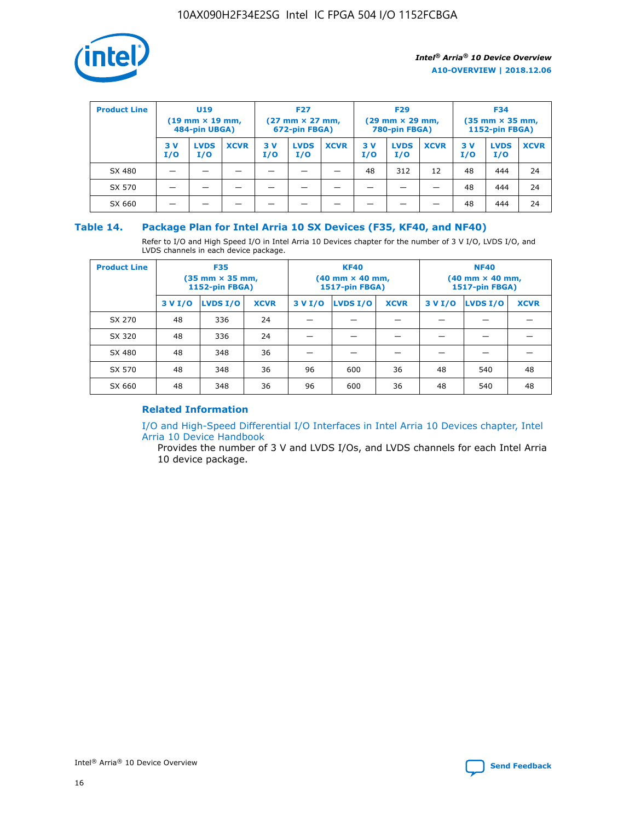

| <b>Product Line</b><br><b>U19</b><br>$(19 \text{ mm} \times 19 \text{ mm})$<br>484-pin UBGA) |            | <b>F27</b><br>$(27 \text{ mm} \times 27 \text{ mm})$<br>672-pin FBGA) |             |           | <b>F29</b><br>$(29$ mm $\times$ 29 mm,<br>780-pin FBGA) |             |           | <b>F34</b><br>$(35$ mm $\times$ 35 mm,<br><b>1152-pin FBGA)</b> |             |           |                    |             |
|----------------------------------------------------------------------------------------------|------------|-----------------------------------------------------------------------|-------------|-----------|---------------------------------------------------------|-------------|-----------|-----------------------------------------------------------------|-------------|-----------|--------------------|-------------|
|                                                                                              | 3 V<br>I/O | <b>LVDS</b><br>I/O                                                    | <b>XCVR</b> | 3V<br>I/O | <b>LVDS</b><br>I/O                                      | <b>XCVR</b> | 3V<br>I/O | <b>LVDS</b><br>I/O                                              | <b>XCVR</b> | 3V<br>I/O | <b>LVDS</b><br>I/O | <b>XCVR</b> |
| SX 480                                                                                       |            |                                                                       |             |           |                                                         |             | 48        | 312                                                             | 12          | 48        | 444                | 24          |
| SX 570                                                                                       |            |                                                                       |             |           |                                                         |             |           |                                                                 |             | 48        | 444                | 24          |
| SX 660                                                                                       |            |                                                                       |             |           |                                                         |             |           |                                                                 |             | 48        | 444                | 24          |

## **Table 14. Package Plan for Intel Arria 10 SX Devices (F35, KF40, and NF40)**

Refer to I/O and High Speed I/O in Intel Arria 10 Devices chapter for the number of 3 V I/O, LVDS I/O, and LVDS channels in each device package.

| <b>Product Line</b> | <b>F35</b><br>(35 mm × 35 mm,<br><b>1152-pin FBGA)</b> |          |             |                                           | <b>KF40</b><br>(40 mm × 40 mm,<br>1517-pin FBGA) |    | <b>NF40</b><br>$(40 \text{ mm} \times 40 \text{ mm})$<br>1517-pin FBGA) |          |             |  |
|---------------------|--------------------------------------------------------|----------|-------------|-------------------------------------------|--------------------------------------------------|----|-------------------------------------------------------------------------|----------|-------------|--|
|                     | 3 V I/O                                                | LVDS I/O | <b>XCVR</b> | <b>LVDS I/O</b><br>3 V I/O<br><b>XCVR</b> |                                                  |    | 3 V I/O                                                                 | LVDS I/O | <b>XCVR</b> |  |
| SX 270              | 48                                                     | 336      | 24          |                                           |                                                  |    |                                                                         |          |             |  |
| SX 320              | 48                                                     | 336      | 24          |                                           |                                                  |    |                                                                         |          |             |  |
| SX 480              | 48                                                     | 348      | 36          |                                           |                                                  |    |                                                                         |          |             |  |
| SX 570              | 48                                                     | 348      | 36          | 96                                        | 600                                              | 36 | 48                                                                      | 540      | 48          |  |
| SX 660              | 48                                                     | 348      | 36          | 96                                        | 600                                              | 36 | 48                                                                      | 540      | 48          |  |

## **Related Information**

[I/O and High-Speed Differential I/O Interfaces in Intel Arria 10 Devices chapter, Intel](https://www.intel.com/content/www/us/en/programmable/documentation/sam1403482614086.html#sam1403482030321) [Arria 10 Device Handbook](https://www.intel.com/content/www/us/en/programmable/documentation/sam1403482614086.html#sam1403482030321)

Provides the number of 3 V and LVDS I/Os, and LVDS channels for each Intel Arria 10 device package.

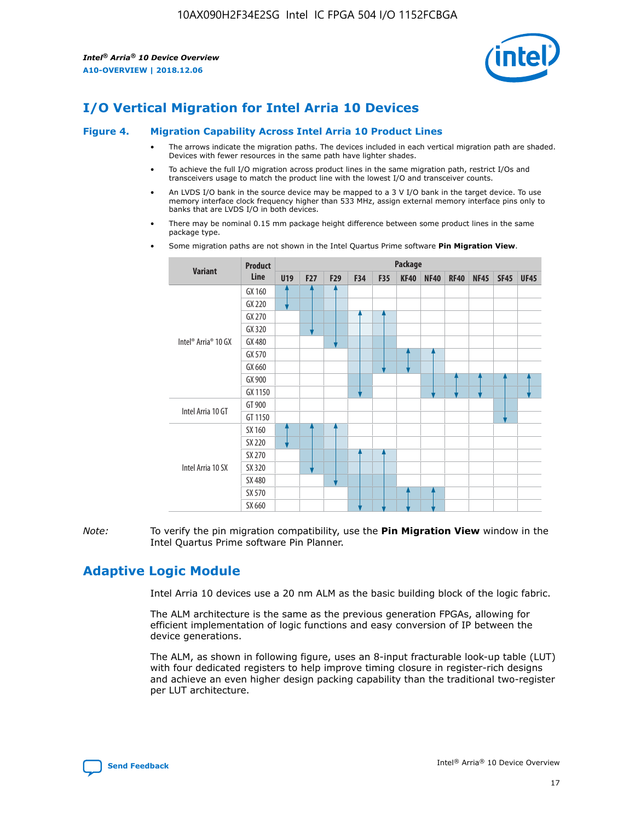

# **I/O Vertical Migration for Intel Arria 10 Devices**

#### **Figure 4. Migration Capability Across Intel Arria 10 Product Lines**

- The arrows indicate the migration paths. The devices included in each vertical migration path are shaded. Devices with fewer resources in the same path have lighter shades.
- To achieve the full I/O migration across product lines in the same migration path, restrict I/Os and transceivers usage to match the product line with the lowest I/O and transceiver counts.
- An LVDS I/O bank in the source device may be mapped to a 3 V I/O bank in the target device. To use memory interface clock frequency higher than 533 MHz, assign external memory interface pins only to banks that are LVDS I/O in both devices.
- There may be nominal 0.15 mm package height difference between some product lines in the same package type.
	- **Variant Product Line Package U19 F27 F29 F34 F35 KF40 NF40 RF40 NF45 SF45 UF45** Intel® Arria® 10 GX GX 160 GX 220 GX 270 GX 320 GX 480 GX 570 GX 660 GX 900 GX 1150 Intel Arria 10 GT GT 900 GT 1150 Intel Arria 10 SX SX 160 SX 220 SX 270 SX 320 SX 480 SX 570 SX 660
- Some migration paths are not shown in the Intel Quartus Prime software **Pin Migration View**.

*Note:* To verify the pin migration compatibility, use the **Pin Migration View** window in the Intel Quartus Prime software Pin Planner.

# **Adaptive Logic Module**

Intel Arria 10 devices use a 20 nm ALM as the basic building block of the logic fabric.

The ALM architecture is the same as the previous generation FPGAs, allowing for efficient implementation of logic functions and easy conversion of IP between the device generations.

The ALM, as shown in following figure, uses an 8-input fracturable look-up table (LUT) with four dedicated registers to help improve timing closure in register-rich designs and achieve an even higher design packing capability than the traditional two-register per LUT architecture.

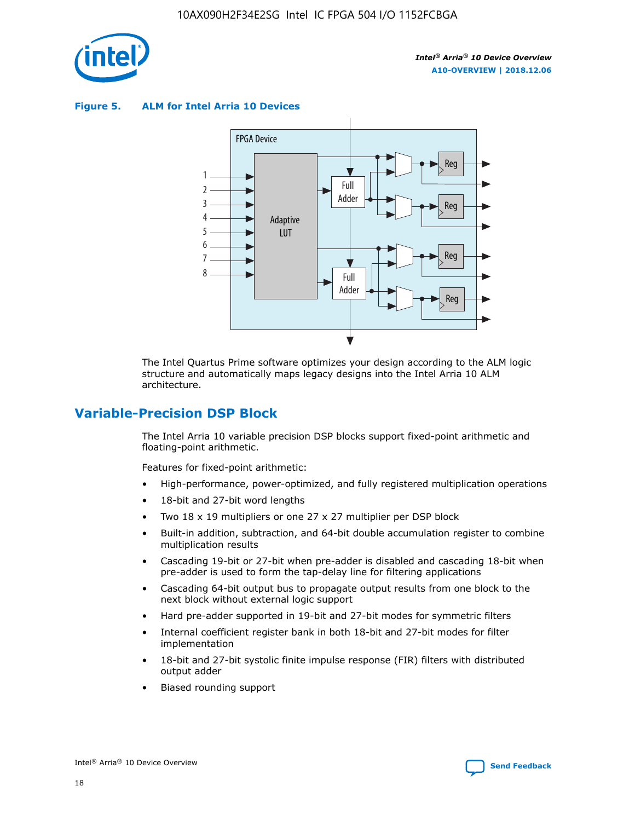

**Figure 5. ALM for Intel Arria 10 Devices**



The Intel Quartus Prime software optimizes your design according to the ALM logic structure and automatically maps legacy designs into the Intel Arria 10 ALM architecture.

## **Variable-Precision DSP Block**

The Intel Arria 10 variable precision DSP blocks support fixed-point arithmetic and floating-point arithmetic.

Features for fixed-point arithmetic:

- High-performance, power-optimized, and fully registered multiplication operations
- 18-bit and 27-bit word lengths
- Two 18 x 19 multipliers or one 27 x 27 multiplier per DSP block
- Built-in addition, subtraction, and 64-bit double accumulation register to combine multiplication results
- Cascading 19-bit or 27-bit when pre-adder is disabled and cascading 18-bit when pre-adder is used to form the tap-delay line for filtering applications
- Cascading 64-bit output bus to propagate output results from one block to the next block without external logic support
- Hard pre-adder supported in 19-bit and 27-bit modes for symmetric filters
- Internal coefficient register bank in both 18-bit and 27-bit modes for filter implementation
- 18-bit and 27-bit systolic finite impulse response (FIR) filters with distributed output adder
- Biased rounding support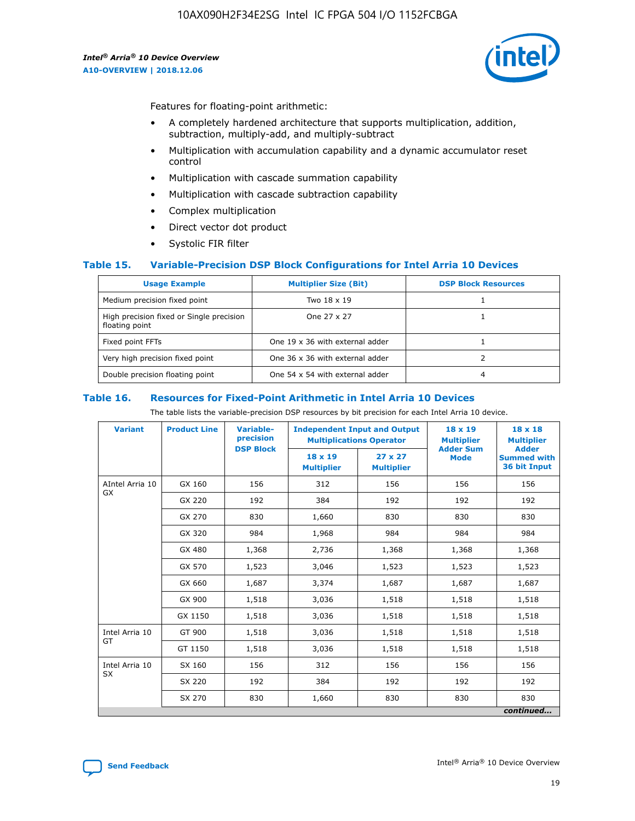

Features for floating-point arithmetic:

- A completely hardened architecture that supports multiplication, addition, subtraction, multiply-add, and multiply-subtract
- Multiplication with accumulation capability and a dynamic accumulator reset control
- Multiplication with cascade summation capability
- Multiplication with cascade subtraction capability
- Complex multiplication
- Direct vector dot product
- Systolic FIR filter

#### **Table 15. Variable-Precision DSP Block Configurations for Intel Arria 10 Devices**

| <b>Usage Example</b>                                       | <b>Multiplier Size (Bit)</b>    | <b>DSP Block Resources</b> |
|------------------------------------------------------------|---------------------------------|----------------------------|
| Medium precision fixed point                               | Two 18 x 19                     |                            |
| High precision fixed or Single precision<br>floating point | One 27 x 27                     |                            |
| Fixed point FFTs                                           | One 19 x 36 with external adder |                            |
| Very high precision fixed point                            | One 36 x 36 with external adder |                            |
| Double precision floating point                            | One 54 x 54 with external adder | 4                          |

#### **Table 16. Resources for Fixed-Point Arithmetic in Intel Arria 10 Devices**

The table lists the variable-precision DSP resources by bit precision for each Intel Arria 10 device.

| <b>Variant</b>  | <b>Product Line</b> | <b>Variable-</b><br>precision<br><b>DSP Block</b> | <b>Independent Input and Output</b><br><b>Multiplications Operator</b> |                                     | 18 x 19<br><b>Multiplier</b><br><b>Adder Sum</b> | $18 \times 18$<br><b>Multiplier</b><br><b>Adder</b> |
|-----------------|---------------------|---------------------------------------------------|------------------------------------------------------------------------|-------------------------------------|--------------------------------------------------|-----------------------------------------------------|
|                 |                     |                                                   | 18 x 19<br><b>Multiplier</b>                                           | $27 \times 27$<br><b>Multiplier</b> | <b>Mode</b>                                      | <b>Summed with</b><br>36 bit Input                  |
| AIntel Arria 10 | GX 160              | 156                                               | 312                                                                    | 156                                 | 156                                              | 156                                                 |
| GX              | GX 220              | 192                                               | 384                                                                    | 192                                 | 192                                              | 192                                                 |
|                 | GX 270              | 830                                               | 1,660                                                                  | 830                                 | 830                                              | 830                                                 |
|                 | GX 320              | 984                                               | 1,968                                                                  | 984                                 | 984                                              | 984                                                 |
|                 | GX 480              | 1,368                                             | 2,736                                                                  | 1,368                               | 1,368                                            | 1,368                                               |
|                 | GX 570              | 1,523                                             | 3,046                                                                  | 1,523                               | 1,523                                            | 1,523                                               |
|                 | GX 660              | 1,687                                             | 3,374                                                                  | 1,687                               | 1,687                                            | 1,687                                               |
|                 | GX 900              | 1,518                                             | 3,036                                                                  | 1,518                               | 1,518                                            | 1,518                                               |
|                 | GX 1150             | 1,518                                             | 3,036                                                                  | 1,518                               | 1,518                                            | 1,518                                               |
| Intel Arria 10  | GT 900              | 1,518                                             | 3,036                                                                  | 1,518                               | 1,518                                            | 1,518                                               |
| GT              | GT 1150             | 1,518                                             | 3,036                                                                  | 1,518                               | 1,518                                            | 1,518                                               |
| Intel Arria 10  | SX 160              | 156                                               | 312                                                                    | 156                                 | 156                                              | 156                                                 |
| <b>SX</b>       | SX 220              | 192                                               | 384                                                                    | 192                                 | 192                                              | 192                                                 |
|                 | SX 270              | 830                                               | 1,660                                                                  | 830                                 | 830                                              | 830                                                 |
|                 |                     |                                                   |                                                                        |                                     |                                                  | continued                                           |

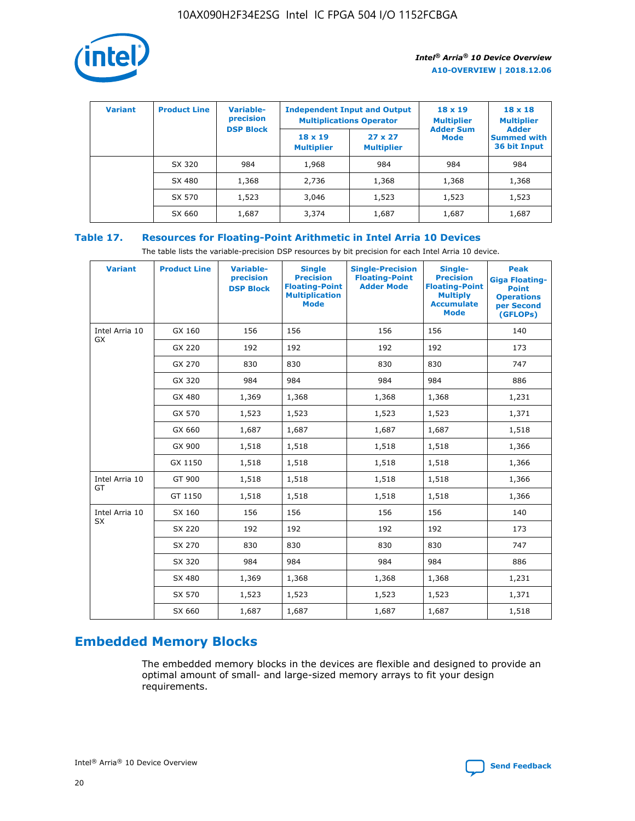

| <b>Variant</b> | <b>Product Line</b> | Variable-<br>precision | <b>Multiplications Operator</b>     | <b>Independent Input and Output</b> | $18 \times 19$<br><b>Multiplier</b> | $18 \times 18$<br><b>Multiplier</b><br><b>Adder</b> |  |
|----------------|---------------------|------------------------|-------------------------------------|-------------------------------------|-------------------------------------|-----------------------------------------------------|--|
|                |                     | <b>DSP Block</b>       | $18 \times 19$<br><b>Multiplier</b> | $27 \times 27$<br><b>Multiplier</b> | <b>Adder Sum</b><br><b>Mode</b>     | <b>Summed with</b><br>36 bit Input                  |  |
|                | SX 320              | 984                    | 1,968                               | 984                                 | 984                                 | 984                                                 |  |
|                | SX 480              | 1,368                  | 2,736                               | 1,368                               | 1,368                               | 1,368                                               |  |
|                | SX 570              | 1,523                  | 3,046                               | 1,523                               | 1,523                               | 1,523                                               |  |
|                | SX 660              | 1,687                  | 3,374                               | 1,687                               | 1,687                               | 1,687                                               |  |

## **Table 17. Resources for Floating-Point Arithmetic in Intel Arria 10 Devices**

The table lists the variable-precision DSP resources by bit precision for each Intel Arria 10 device.

| <b>Variant</b> | <b>Product Line</b> | <b>Variable-</b><br>precision<br><b>DSP Block</b> | <b>Single</b><br><b>Precision</b><br><b>Floating-Point</b><br><b>Multiplication</b><br><b>Mode</b> | <b>Single-Precision</b><br><b>Floating-Point</b><br><b>Adder Mode</b> | Single-<br><b>Precision</b><br><b>Floating-Point</b><br><b>Multiply</b><br><b>Accumulate</b><br><b>Mode</b> | <b>Peak</b><br><b>Giga Floating-</b><br><b>Point</b><br><b>Operations</b><br>per Second<br>(GFLOPs) |
|----------------|---------------------|---------------------------------------------------|----------------------------------------------------------------------------------------------------|-----------------------------------------------------------------------|-------------------------------------------------------------------------------------------------------------|-----------------------------------------------------------------------------------------------------|
| Intel Arria 10 | GX 160              | 156                                               | 156                                                                                                | 156                                                                   | 156                                                                                                         | 140                                                                                                 |
| <b>GX</b>      | GX 220              | 192                                               | 192                                                                                                | 192                                                                   | 192                                                                                                         | 173                                                                                                 |
|                | GX 270              | 830                                               | 830                                                                                                | 830                                                                   | 830                                                                                                         | 747                                                                                                 |
|                | GX 320              | 984                                               | 984                                                                                                | 984                                                                   | 984                                                                                                         | 886                                                                                                 |
|                | GX 480              | 1,369                                             | 1,368                                                                                              | 1,368                                                                 | 1,368                                                                                                       | 1,231                                                                                               |
|                | GX 570              | 1,523                                             | 1,523                                                                                              | 1,523                                                                 | 1,523                                                                                                       | 1,371                                                                                               |
|                | GX 660              | 1,687                                             | 1,687                                                                                              | 1,687                                                                 | 1,687                                                                                                       | 1,518                                                                                               |
|                | GX 900              | 1,518                                             | 1,518                                                                                              | 1,518                                                                 | 1,518                                                                                                       | 1,366                                                                                               |
|                | GX 1150             | 1,518                                             | 1,518                                                                                              | 1,518                                                                 | 1,518                                                                                                       | 1,366                                                                                               |
| Intel Arria 10 | GT 900              | 1,518                                             | 1,518                                                                                              | 1,518                                                                 | 1,518                                                                                                       | 1,366                                                                                               |
| GT             | GT 1150             | 1,518                                             | 1,518                                                                                              | 1,518                                                                 | 1,518                                                                                                       | 1,366                                                                                               |
| Intel Arria 10 | SX 160              | 156                                               | 156                                                                                                | 156                                                                   | 156                                                                                                         | 140                                                                                                 |
| SX             | SX 220              | 192                                               | 192                                                                                                | 192                                                                   | 192                                                                                                         | 173                                                                                                 |
|                | SX 270              | 830                                               | 830                                                                                                | 830                                                                   | 830                                                                                                         | 747                                                                                                 |
|                | SX 320              | 984                                               | 984                                                                                                | 984                                                                   | 984                                                                                                         | 886                                                                                                 |
|                | SX 480              | 1,369                                             | 1,368                                                                                              | 1,368                                                                 | 1,368                                                                                                       | 1,231                                                                                               |
|                | SX 570              | 1,523                                             | 1,523                                                                                              | 1,523                                                                 | 1,523                                                                                                       | 1,371                                                                                               |
|                | SX 660              | 1,687                                             | 1,687                                                                                              | 1,687                                                                 | 1,687                                                                                                       | 1,518                                                                                               |

# **Embedded Memory Blocks**

The embedded memory blocks in the devices are flexible and designed to provide an optimal amount of small- and large-sized memory arrays to fit your design requirements.

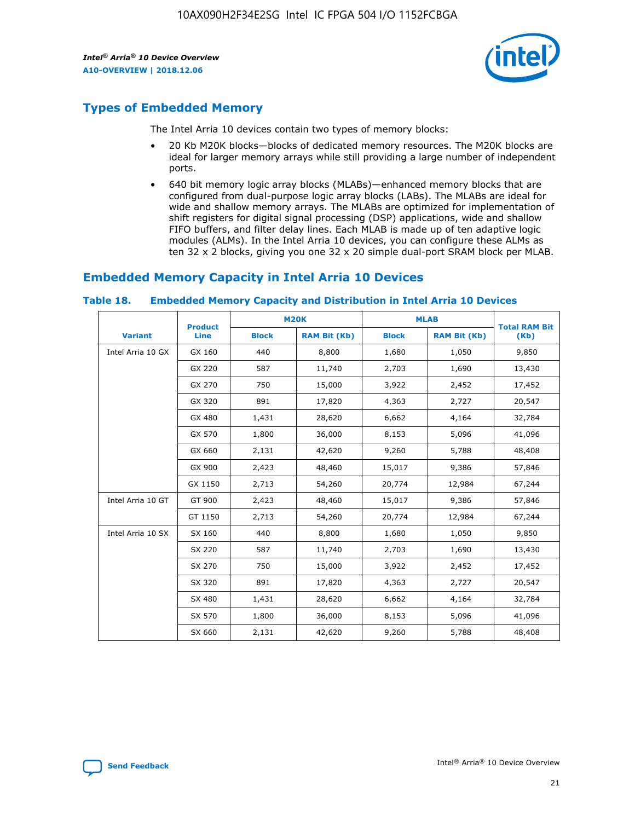

# **Types of Embedded Memory**

The Intel Arria 10 devices contain two types of memory blocks:

- 20 Kb M20K blocks—blocks of dedicated memory resources. The M20K blocks are ideal for larger memory arrays while still providing a large number of independent ports.
- 640 bit memory logic array blocks (MLABs)—enhanced memory blocks that are configured from dual-purpose logic array blocks (LABs). The MLABs are ideal for wide and shallow memory arrays. The MLABs are optimized for implementation of shift registers for digital signal processing (DSP) applications, wide and shallow FIFO buffers, and filter delay lines. Each MLAB is made up of ten adaptive logic modules (ALMs). In the Intel Arria 10 devices, you can configure these ALMs as ten 32 x 2 blocks, giving you one 32 x 20 simple dual-port SRAM block per MLAB.

## **Embedded Memory Capacity in Intel Arria 10 Devices**

|                   | <b>Product</b> |              | <b>M20K</b>         |              | <b>MLAB</b>         | <b>Total RAM Bit</b> |
|-------------------|----------------|--------------|---------------------|--------------|---------------------|----------------------|
| <b>Variant</b>    | Line           | <b>Block</b> | <b>RAM Bit (Kb)</b> | <b>Block</b> | <b>RAM Bit (Kb)</b> | (Kb)                 |
| Intel Arria 10 GX | GX 160         | 440          | 8,800               | 1,680        | 1,050               | 9,850                |
|                   | GX 220         | 587          | 11,740              | 2,703        | 1,690               | 13,430               |
|                   | GX 270         | 750          | 15,000              | 3,922        | 2,452               | 17,452               |
|                   | GX 320         | 891          | 17,820              | 4,363        | 2,727               | 20,547               |
|                   | GX 480         | 1,431        | 28,620              | 6,662        | 4,164               | 32,784               |
|                   | GX 570         | 1,800        | 36,000              | 8,153        | 5,096               | 41,096               |
|                   | GX 660         | 2,131        | 42,620              | 9,260        | 5,788               | 48,408               |
|                   | GX 900         | 2,423        | 48,460              | 15,017       | 9,386               | 57,846               |
|                   | GX 1150        | 2,713        | 54,260              | 20,774       | 12,984              | 67,244               |
| Intel Arria 10 GT | GT 900         | 2,423        | 48,460              | 15,017       | 9,386               | 57,846               |
|                   | GT 1150        | 2,713        | 54,260              | 20,774       | 12,984              | 67,244               |
| Intel Arria 10 SX | SX 160         | 440          | 8,800               | 1,680        | 1,050               | 9,850                |
|                   | SX 220         | 587          | 11,740              | 2,703        | 1,690               | 13,430               |
|                   | SX 270         | 750          | 15,000              | 3,922        | 2,452               | 17,452               |
|                   | SX 320         | 891          | 17,820              | 4,363        | 2,727               | 20,547               |
|                   | SX 480         | 1,431        | 28,620              | 6,662        | 4,164               | 32,784               |
|                   | SX 570         | 1,800        | 36,000              | 8,153        | 5,096               | 41,096               |
|                   | SX 660         | 2,131        | 42,620              | 9,260        | 5,788               | 48,408               |

#### **Table 18. Embedded Memory Capacity and Distribution in Intel Arria 10 Devices**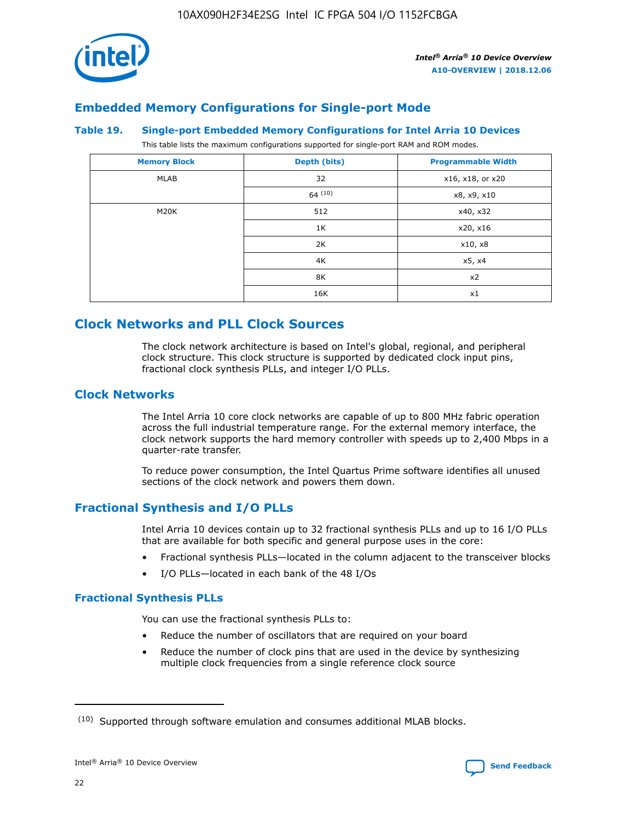

## **Embedded Memory Configurations for Single-port Mode**

#### **Table 19. Single-port Embedded Memory Configurations for Intel Arria 10 Devices**

This table lists the maximum configurations supported for single-port RAM and ROM modes.

| <b>Memory Block</b> | Depth (bits) | <b>Programmable Width</b> |
|---------------------|--------------|---------------------------|
| MLAB                | 32           | x16, x18, or x20          |
|                     | 64(10)       | x8, x9, x10               |
| M20K                | 512          | x40, x32                  |
|                     | 1K           | x20, x16                  |
|                     | 2K           | x10, x8                   |
|                     | 4K           | x5, x4                    |
|                     | 8K           | x2                        |
|                     | 16K          | x1                        |

# **Clock Networks and PLL Clock Sources**

The clock network architecture is based on Intel's global, regional, and peripheral clock structure. This clock structure is supported by dedicated clock input pins, fractional clock synthesis PLLs, and integer I/O PLLs.

## **Clock Networks**

The Intel Arria 10 core clock networks are capable of up to 800 MHz fabric operation across the full industrial temperature range. For the external memory interface, the clock network supports the hard memory controller with speeds up to 2,400 Mbps in a quarter-rate transfer.

To reduce power consumption, the Intel Quartus Prime software identifies all unused sections of the clock network and powers them down.

## **Fractional Synthesis and I/O PLLs**

Intel Arria 10 devices contain up to 32 fractional synthesis PLLs and up to 16 I/O PLLs that are available for both specific and general purpose uses in the core:

- Fractional synthesis PLLs—located in the column adjacent to the transceiver blocks
- I/O PLLs—located in each bank of the 48 I/Os

## **Fractional Synthesis PLLs**

You can use the fractional synthesis PLLs to:

- Reduce the number of oscillators that are required on your board
- Reduce the number of clock pins that are used in the device by synthesizing multiple clock frequencies from a single reference clock source

<sup>(10)</sup> Supported through software emulation and consumes additional MLAB blocks.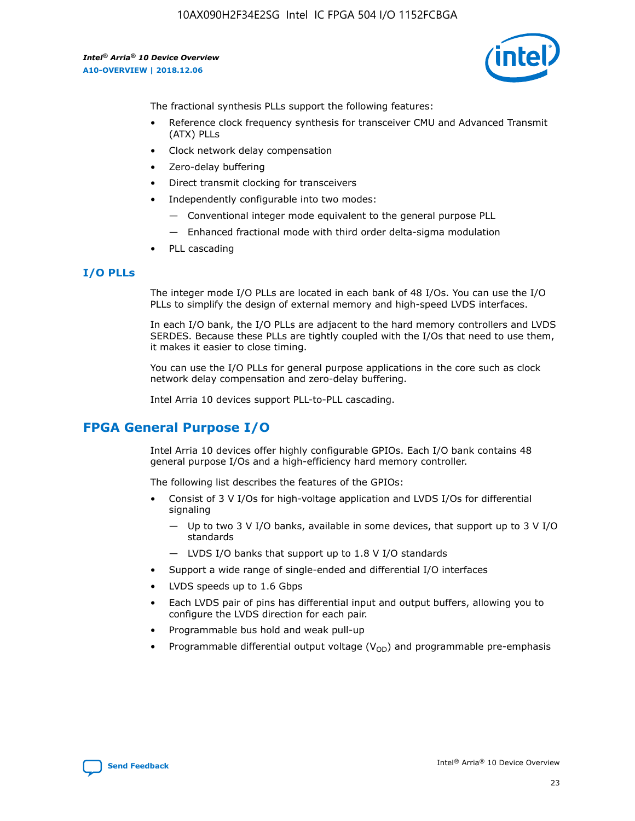

The fractional synthesis PLLs support the following features:

- Reference clock frequency synthesis for transceiver CMU and Advanced Transmit (ATX) PLLs
- Clock network delay compensation
- Zero-delay buffering
- Direct transmit clocking for transceivers
- Independently configurable into two modes:
	- Conventional integer mode equivalent to the general purpose PLL
	- Enhanced fractional mode with third order delta-sigma modulation
- PLL cascading

## **I/O PLLs**

The integer mode I/O PLLs are located in each bank of 48 I/Os. You can use the I/O PLLs to simplify the design of external memory and high-speed LVDS interfaces.

In each I/O bank, the I/O PLLs are adjacent to the hard memory controllers and LVDS SERDES. Because these PLLs are tightly coupled with the I/Os that need to use them, it makes it easier to close timing.

You can use the I/O PLLs for general purpose applications in the core such as clock network delay compensation and zero-delay buffering.

Intel Arria 10 devices support PLL-to-PLL cascading.

# **FPGA General Purpose I/O**

Intel Arria 10 devices offer highly configurable GPIOs. Each I/O bank contains 48 general purpose I/Os and a high-efficiency hard memory controller.

The following list describes the features of the GPIOs:

- Consist of 3 V I/Os for high-voltage application and LVDS I/Os for differential signaling
	- Up to two 3 V I/O banks, available in some devices, that support up to 3 V I/O standards
	- LVDS I/O banks that support up to 1.8 V I/O standards
- Support a wide range of single-ended and differential I/O interfaces
- LVDS speeds up to 1.6 Gbps
- Each LVDS pair of pins has differential input and output buffers, allowing you to configure the LVDS direction for each pair.
- Programmable bus hold and weak pull-up
- Programmable differential output voltage  $(V_{OD})$  and programmable pre-emphasis

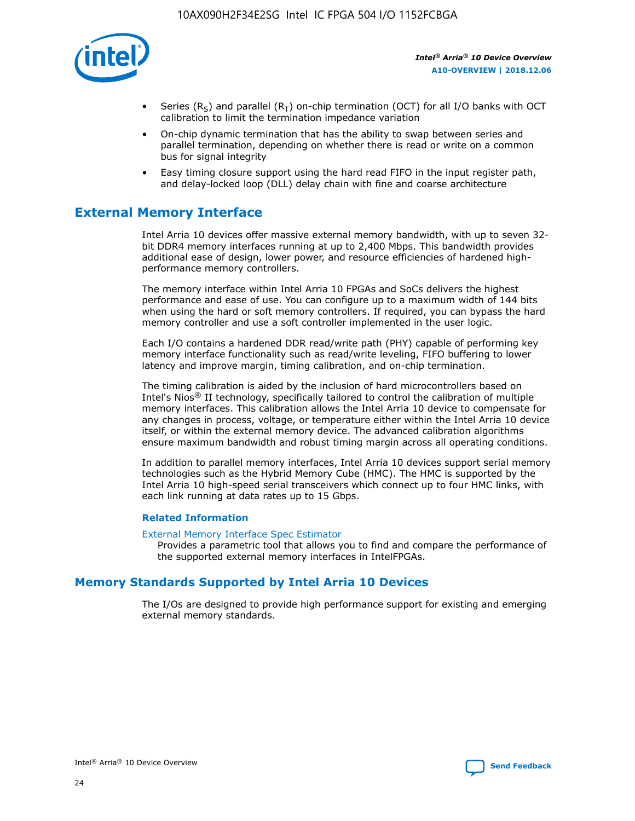

- Series (R<sub>S</sub>) and parallel (R<sub>T</sub>) on-chip termination (OCT) for all I/O banks with OCT calibration to limit the termination impedance variation
- On-chip dynamic termination that has the ability to swap between series and parallel termination, depending on whether there is read or write on a common bus for signal integrity
- Easy timing closure support using the hard read FIFO in the input register path, and delay-locked loop (DLL) delay chain with fine and coarse architecture

# **External Memory Interface**

Intel Arria 10 devices offer massive external memory bandwidth, with up to seven 32 bit DDR4 memory interfaces running at up to 2,400 Mbps. This bandwidth provides additional ease of design, lower power, and resource efficiencies of hardened highperformance memory controllers.

The memory interface within Intel Arria 10 FPGAs and SoCs delivers the highest performance and ease of use. You can configure up to a maximum width of 144 bits when using the hard or soft memory controllers. If required, you can bypass the hard memory controller and use a soft controller implemented in the user logic.

Each I/O contains a hardened DDR read/write path (PHY) capable of performing key memory interface functionality such as read/write leveling, FIFO buffering to lower latency and improve margin, timing calibration, and on-chip termination.

The timing calibration is aided by the inclusion of hard microcontrollers based on Intel's Nios® II technology, specifically tailored to control the calibration of multiple memory interfaces. This calibration allows the Intel Arria 10 device to compensate for any changes in process, voltage, or temperature either within the Intel Arria 10 device itself, or within the external memory device. The advanced calibration algorithms ensure maximum bandwidth and robust timing margin across all operating conditions.

In addition to parallel memory interfaces, Intel Arria 10 devices support serial memory technologies such as the Hybrid Memory Cube (HMC). The HMC is supported by the Intel Arria 10 high-speed serial transceivers which connect up to four HMC links, with each link running at data rates up to 15 Gbps.

#### **Related Information**

#### [External Memory Interface Spec Estimator](http://www.altera.com/technology/memory/estimator/mem-emif-index.html)

Provides a parametric tool that allows you to find and compare the performance of the supported external memory interfaces in IntelFPGAs.

## **Memory Standards Supported by Intel Arria 10 Devices**

The I/Os are designed to provide high performance support for existing and emerging external memory standards.

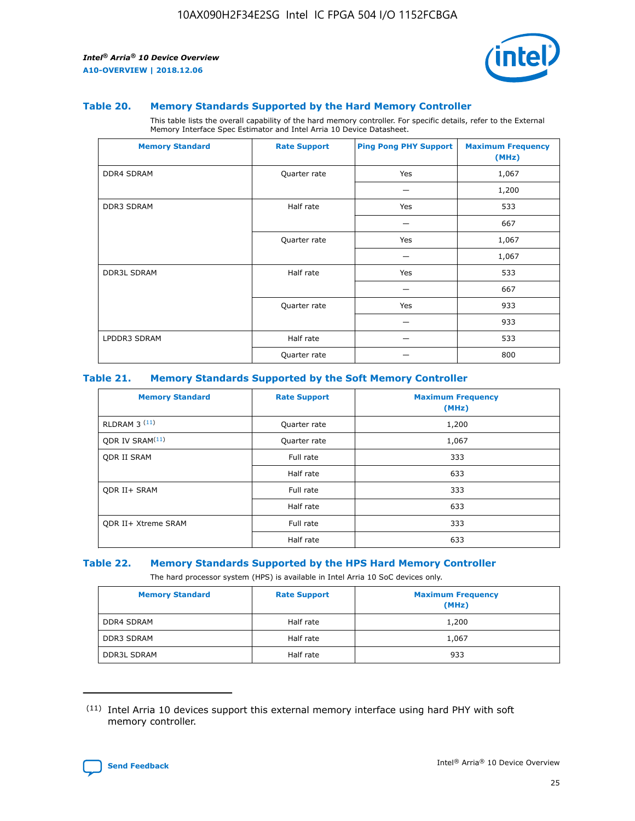

#### **Table 20. Memory Standards Supported by the Hard Memory Controller**

This table lists the overall capability of the hard memory controller. For specific details, refer to the External Memory Interface Spec Estimator and Intel Arria 10 Device Datasheet.

| <b>Memory Standard</b> | <b>Rate Support</b> | <b>Ping Pong PHY Support</b> | <b>Maximum Frequency</b><br>(MHz) |
|------------------------|---------------------|------------------------------|-----------------------------------|
| <b>DDR4 SDRAM</b>      | Quarter rate        | Yes                          | 1,067                             |
|                        |                     |                              | 1,200                             |
| DDR3 SDRAM             | Half rate           | Yes                          | 533                               |
|                        |                     |                              | 667                               |
|                        | Quarter rate        | Yes                          | 1,067                             |
|                        |                     |                              | 1,067                             |
| <b>DDR3L SDRAM</b>     | Half rate           | Yes                          | 533                               |
|                        |                     |                              | 667                               |
|                        | Quarter rate        | Yes                          | 933                               |
|                        |                     |                              | 933                               |
| LPDDR3 SDRAM           | Half rate           |                              | 533                               |
|                        | Quarter rate        |                              | 800                               |

#### **Table 21. Memory Standards Supported by the Soft Memory Controller**

| <b>Memory Standard</b>      | <b>Rate Support</b> | <b>Maximum Frequency</b><br>(MHz) |
|-----------------------------|---------------------|-----------------------------------|
| <b>RLDRAM 3 (11)</b>        | Quarter rate        | 1,200                             |
| ODR IV SRAM <sup>(11)</sup> | Quarter rate        | 1,067                             |
| <b>ODR II SRAM</b>          | Full rate           | 333                               |
|                             | Half rate           | 633                               |
| <b>ODR II+ SRAM</b>         | Full rate           | 333                               |
|                             | Half rate           | 633                               |
| <b>ODR II+ Xtreme SRAM</b>  | Full rate           | 333                               |
|                             | Half rate           | 633                               |

#### **Table 22. Memory Standards Supported by the HPS Hard Memory Controller**

The hard processor system (HPS) is available in Intel Arria 10 SoC devices only.

| <b>Memory Standard</b> | <b>Rate Support</b> | <b>Maximum Frequency</b><br>(MHz) |
|------------------------|---------------------|-----------------------------------|
| <b>DDR4 SDRAM</b>      | Half rate           | 1,200                             |
| <b>DDR3 SDRAM</b>      | Half rate           | 1,067                             |
| <b>DDR3L SDRAM</b>     | Half rate           | 933                               |

<sup>(11)</sup> Intel Arria 10 devices support this external memory interface using hard PHY with soft memory controller.

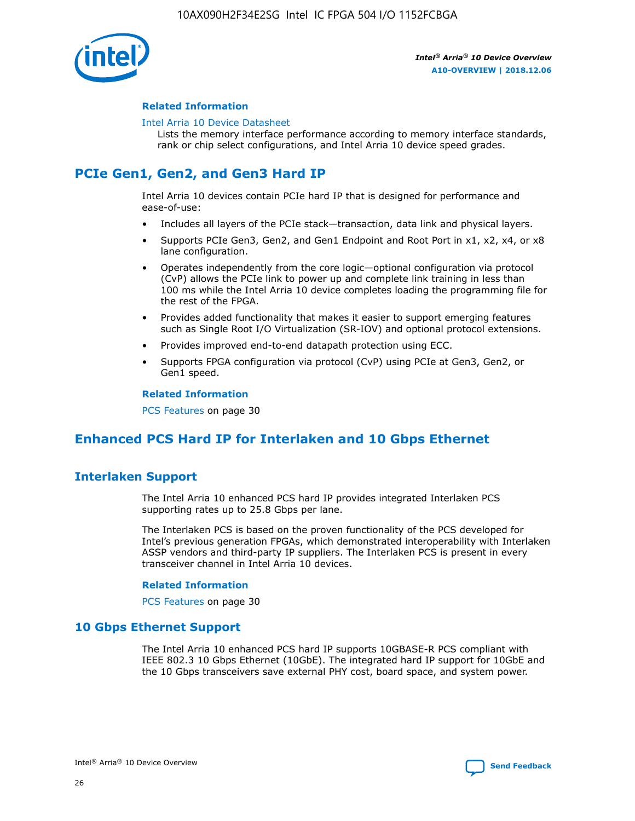

#### **Related Information**

#### [Intel Arria 10 Device Datasheet](https://www.intel.com/content/www/us/en/programmable/documentation/mcn1413182292568.html#mcn1413182153340)

Lists the memory interface performance according to memory interface standards, rank or chip select configurations, and Intel Arria 10 device speed grades.

# **PCIe Gen1, Gen2, and Gen3 Hard IP**

Intel Arria 10 devices contain PCIe hard IP that is designed for performance and ease-of-use:

- Includes all layers of the PCIe stack—transaction, data link and physical layers.
- Supports PCIe Gen3, Gen2, and Gen1 Endpoint and Root Port in x1, x2, x4, or x8 lane configuration.
- Operates independently from the core logic—optional configuration via protocol (CvP) allows the PCIe link to power up and complete link training in less than 100 ms while the Intel Arria 10 device completes loading the programming file for the rest of the FPGA.
- Provides added functionality that makes it easier to support emerging features such as Single Root I/O Virtualization (SR-IOV) and optional protocol extensions.
- Provides improved end-to-end datapath protection using ECC.
- Supports FPGA configuration via protocol (CvP) using PCIe at Gen3, Gen2, or Gen1 speed.

#### **Related Information**

PCS Features on page 30

# **Enhanced PCS Hard IP for Interlaken and 10 Gbps Ethernet**

## **Interlaken Support**

The Intel Arria 10 enhanced PCS hard IP provides integrated Interlaken PCS supporting rates up to 25.8 Gbps per lane.

The Interlaken PCS is based on the proven functionality of the PCS developed for Intel's previous generation FPGAs, which demonstrated interoperability with Interlaken ASSP vendors and third-party IP suppliers. The Interlaken PCS is present in every transceiver channel in Intel Arria 10 devices.

#### **Related Information**

PCS Features on page 30

## **10 Gbps Ethernet Support**

The Intel Arria 10 enhanced PCS hard IP supports 10GBASE-R PCS compliant with IEEE 802.3 10 Gbps Ethernet (10GbE). The integrated hard IP support for 10GbE and the 10 Gbps transceivers save external PHY cost, board space, and system power.

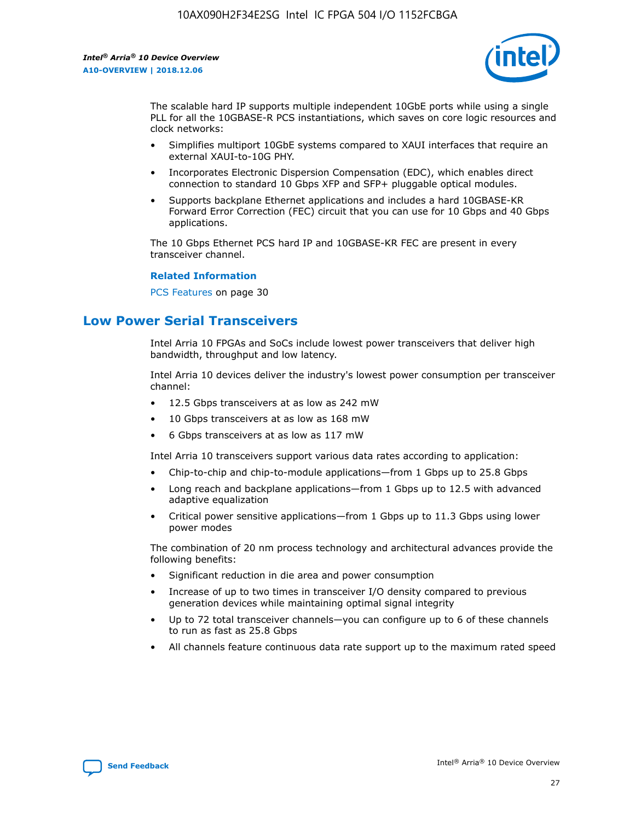

The scalable hard IP supports multiple independent 10GbE ports while using a single PLL for all the 10GBASE-R PCS instantiations, which saves on core logic resources and clock networks:

- Simplifies multiport 10GbE systems compared to XAUI interfaces that require an external XAUI-to-10G PHY.
- Incorporates Electronic Dispersion Compensation (EDC), which enables direct connection to standard 10 Gbps XFP and SFP+ pluggable optical modules.
- Supports backplane Ethernet applications and includes a hard 10GBASE-KR Forward Error Correction (FEC) circuit that you can use for 10 Gbps and 40 Gbps applications.

The 10 Gbps Ethernet PCS hard IP and 10GBASE-KR FEC are present in every transceiver channel.

#### **Related Information**

PCS Features on page 30

# **Low Power Serial Transceivers**

Intel Arria 10 FPGAs and SoCs include lowest power transceivers that deliver high bandwidth, throughput and low latency.

Intel Arria 10 devices deliver the industry's lowest power consumption per transceiver channel:

- 12.5 Gbps transceivers at as low as 242 mW
- 10 Gbps transceivers at as low as 168 mW
- 6 Gbps transceivers at as low as 117 mW

Intel Arria 10 transceivers support various data rates according to application:

- Chip-to-chip and chip-to-module applications—from 1 Gbps up to 25.8 Gbps
- Long reach and backplane applications—from 1 Gbps up to 12.5 with advanced adaptive equalization
- Critical power sensitive applications—from 1 Gbps up to 11.3 Gbps using lower power modes

The combination of 20 nm process technology and architectural advances provide the following benefits:

- Significant reduction in die area and power consumption
- Increase of up to two times in transceiver I/O density compared to previous generation devices while maintaining optimal signal integrity
- Up to 72 total transceiver channels—you can configure up to 6 of these channels to run as fast as 25.8 Gbps
- All channels feature continuous data rate support up to the maximum rated speed

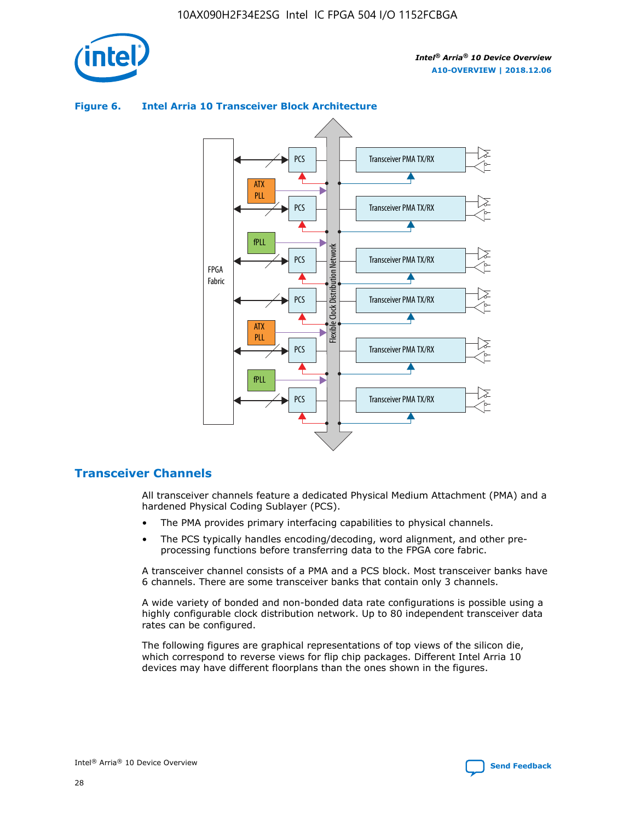

## Transceiver PMA TX/RX PCS ATX PLL Transceiver PMA TX/RX PCS fPLL Network Flexible Clock Distribution Network PCS Transceiver PMA TX/RX FPGA **Clock Distribution** Fabric PCS Transceiver PMA TX/RX ATX Flexible PLL PCS Transceiver PMA TX/RX ▲ fPLL Transceiver PMA TX/RX PCS 4

## **Figure 6. Intel Arria 10 Transceiver Block Architecture**

## **Transceiver Channels**

All transceiver channels feature a dedicated Physical Medium Attachment (PMA) and a hardened Physical Coding Sublayer (PCS).

- The PMA provides primary interfacing capabilities to physical channels.
- The PCS typically handles encoding/decoding, word alignment, and other preprocessing functions before transferring data to the FPGA core fabric.

A transceiver channel consists of a PMA and a PCS block. Most transceiver banks have 6 channels. There are some transceiver banks that contain only 3 channels.

A wide variety of bonded and non-bonded data rate configurations is possible using a highly configurable clock distribution network. Up to 80 independent transceiver data rates can be configured.

The following figures are graphical representations of top views of the silicon die, which correspond to reverse views for flip chip packages. Different Intel Arria 10 devices may have different floorplans than the ones shown in the figures.

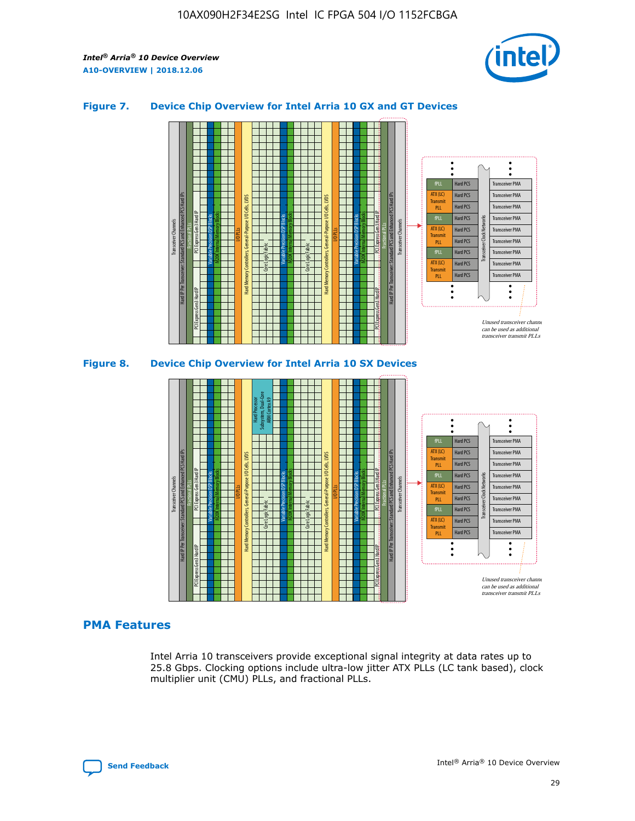

## **Figure 7. Device Chip Overview for Intel Arria 10 GX and GT Devices**





## **PMA Features**

Intel Arria 10 transceivers provide exceptional signal integrity at data rates up to 25.8 Gbps. Clocking options include ultra-low jitter ATX PLLs (LC tank based), clock multiplier unit (CMU) PLLs, and fractional PLLs.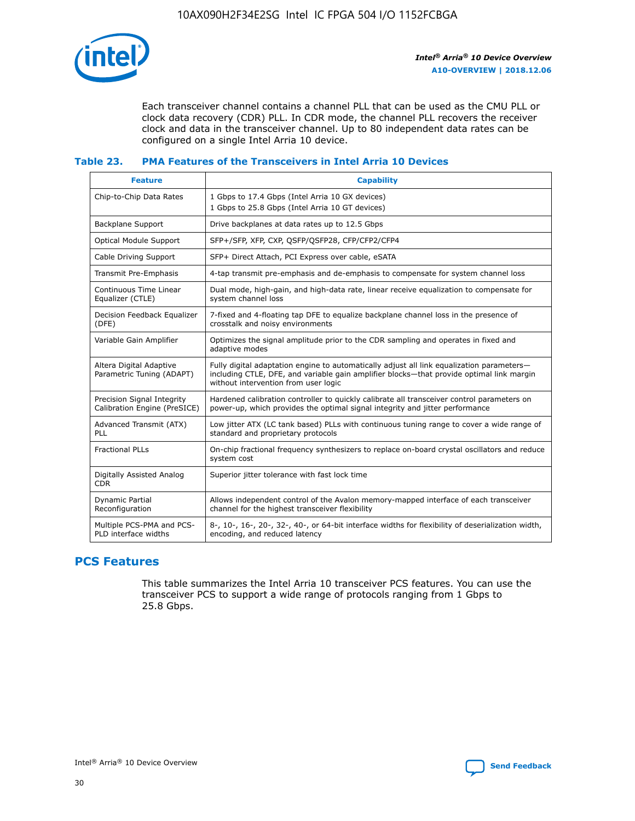

Each transceiver channel contains a channel PLL that can be used as the CMU PLL or clock data recovery (CDR) PLL. In CDR mode, the channel PLL recovers the receiver clock and data in the transceiver channel. Up to 80 independent data rates can be configured on a single Intel Arria 10 device.

## **Table 23. PMA Features of the Transceivers in Intel Arria 10 Devices**

| <b>Feature</b>                                             | <b>Capability</b>                                                                                                                                                                                                             |
|------------------------------------------------------------|-------------------------------------------------------------------------------------------------------------------------------------------------------------------------------------------------------------------------------|
| Chip-to-Chip Data Rates                                    | 1 Gbps to 17.4 Gbps (Intel Arria 10 GX devices)<br>1 Gbps to 25.8 Gbps (Intel Arria 10 GT devices)                                                                                                                            |
| Backplane Support                                          | Drive backplanes at data rates up to 12.5 Gbps                                                                                                                                                                                |
| Optical Module Support                                     | SFP+/SFP, XFP, CXP, QSFP/QSFP28, CFP/CFP2/CFP4                                                                                                                                                                                |
| Cable Driving Support                                      | SFP+ Direct Attach, PCI Express over cable, eSATA                                                                                                                                                                             |
| Transmit Pre-Emphasis                                      | 4-tap transmit pre-emphasis and de-emphasis to compensate for system channel loss                                                                                                                                             |
| Continuous Time Linear<br>Equalizer (CTLE)                 | Dual mode, high-gain, and high-data rate, linear receive equalization to compensate for<br>system channel loss                                                                                                                |
| Decision Feedback Equalizer<br>(DFE)                       | 7-fixed and 4-floating tap DFE to equalize backplane channel loss in the presence of<br>crosstalk and noisy environments                                                                                                      |
| Variable Gain Amplifier                                    | Optimizes the signal amplitude prior to the CDR sampling and operates in fixed and<br>adaptive modes                                                                                                                          |
| Altera Digital Adaptive<br>Parametric Tuning (ADAPT)       | Fully digital adaptation engine to automatically adjust all link equalization parameters-<br>including CTLE, DFE, and variable gain amplifier blocks—that provide optimal link margin<br>without intervention from user logic |
| Precision Signal Integrity<br>Calibration Engine (PreSICE) | Hardened calibration controller to quickly calibrate all transceiver control parameters on<br>power-up, which provides the optimal signal integrity and jitter performance                                                    |
| Advanced Transmit (ATX)<br><b>PLL</b>                      | Low jitter ATX (LC tank based) PLLs with continuous tuning range to cover a wide range of<br>standard and proprietary protocols                                                                                               |
| <b>Fractional PLLs</b>                                     | On-chip fractional frequency synthesizers to replace on-board crystal oscillators and reduce<br>system cost                                                                                                                   |
| Digitally Assisted Analog<br><b>CDR</b>                    | Superior jitter tolerance with fast lock time                                                                                                                                                                                 |
| Dynamic Partial<br>Reconfiguration                         | Allows independent control of the Avalon memory-mapped interface of each transceiver<br>channel for the highest transceiver flexibility                                                                                       |
| Multiple PCS-PMA and PCS-<br>PLD interface widths          | 8-, 10-, 16-, 20-, 32-, 40-, or 64-bit interface widths for flexibility of deserialization width,<br>encoding, and reduced latency                                                                                            |

## **PCS Features**

This table summarizes the Intel Arria 10 transceiver PCS features. You can use the transceiver PCS to support a wide range of protocols ranging from 1 Gbps to 25.8 Gbps.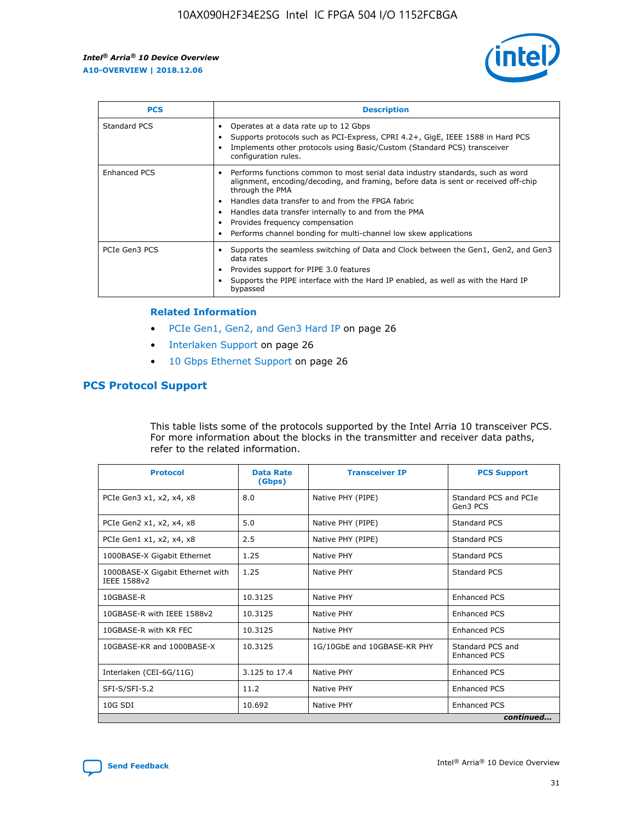

| <b>PCS</b>    | <b>Description</b>                                                                                                                                                                                                                                                                                                                                                                                             |
|---------------|----------------------------------------------------------------------------------------------------------------------------------------------------------------------------------------------------------------------------------------------------------------------------------------------------------------------------------------------------------------------------------------------------------------|
| Standard PCS  | Operates at a data rate up to 12 Gbps<br>Supports protocols such as PCI-Express, CPRI 4.2+, GigE, IEEE 1588 in Hard PCS<br>Implements other protocols using Basic/Custom (Standard PCS) transceiver<br>configuration rules.                                                                                                                                                                                    |
| Enhanced PCS  | Performs functions common to most serial data industry standards, such as word<br>alignment, encoding/decoding, and framing, before data is sent or received off-chip<br>through the PMA<br>• Handles data transfer to and from the FPGA fabric<br>Handles data transfer internally to and from the PMA<br>Provides frequency compensation<br>Performs channel bonding for multi-channel low skew applications |
| PCIe Gen3 PCS | Supports the seamless switching of Data and Clock between the Gen1, Gen2, and Gen3<br>data rates<br>Provides support for PIPE 3.0 features<br>Supports the PIPE interface with the Hard IP enabled, as well as with the Hard IP<br>bypassed                                                                                                                                                                    |

#### **Related Information**

- PCIe Gen1, Gen2, and Gen3 Hard IP on page 26
- Interlaken Support on page 26
- 10 Gbps Ethernet Support on page 26

## **PCS Protocol Support**

This table lists some of the protocols supported by the Intel Arria 10 transceiver PCS. For more information about the blocks in the transmitter and receiver data paths, refer to the related information.

| <b>Protocol</b>                                 | <b>Data Rate</b><br>(Gbps) | <b>Transceiver IP</b>       | <b>PCS Support</b>                      |
|-------------------------------------------------|----------------------------|-----------------------------|-----------------------------------------|
| PCIe Gen3 x1, x2, x4, x8                        | 8.0                        | Native PHY (PIPE)           | Standard PCS and PCIe<br>Gen3 PCS       |
| PCIe Gen2 x1, x2, x4, x8                        | 5.0                        | Native PHY (PIPE)           | <b>Standard PCS</b>                     |
| PCIe Gen1 x1, x2, x4, x8                        | 2.5                        | Native PHY (PIPE)           | Standard PCS                            |
| 1000BASE-X Gigabit Ethernet                     | 1.25                       | Native PHY                  | <b>Standard PCS</b>                     |
| 1000BASE-X Gigabit Ethernet with<br>IEEE 1588v2 | 1.25                       | Native PHY                  | Standard PCS                            |
| 10GBASE-R                                       | 10.3125                    | Native PHY                  | <b>Enhanced PCS</b>                     |
| 10GBASE-R with IEEE 1588v2                      | 10.3125                    | Native PHY                  | <b>Enhanced PCS</b>                     |
| 10GBASE-R with KR FEC                           | 10.3125                    | Native PHY                  | <b>Enhanced PCS</b>                     |
| 10GBASE-KR and 1000BASE-X                       | 10.3125                    | 1G/10GbE and 10GBASE-KR PHY | Standard PCS and<br><b>Enhanced PCS</b> |
| Interlaken (CEI-6G/11G)                         | 3.125 to 17.4              | Native PHY                  | <b>Enhanced PCS</b>                     |
| SFI-S/SFI-5.2                                   | 11.2                       | Native PHY                  | <b>Enhanced PCS</b>                     |
| $10G$ SDI                                       | 10.692                     | Native PHY                  | <b>Enhanced PCS</b>                     |
|                                                 |                            |                             | continued                               |

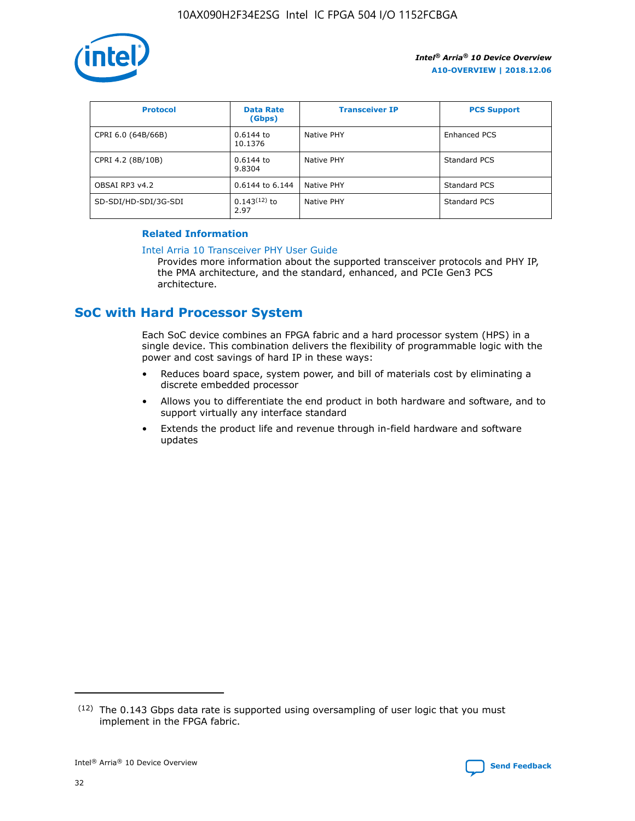

| <b>Protocol</b>      | <b>Data Rate</b><br>(Gbps) | <b>Transceiver IP</b> | <b>PCS Support</b> |
|----------------------|----------------------------|-----------------------|--------------------|
| CPRI 6.0 (64B/66B)   | 0.6144 to<br>10.1376       | Native PHY            | Enhanced PCS       |
| CPRI 4.2 (8B/10B)    | 0.6144 to<br>9.8304        | Native PHY            | Standard PCS       |
| OBSAI RP3 v4.2       | 0.6144 to 6.144            | Native PHY            | Standard PCS       |
| SD-SDI/HD-SDI/3G-SDI | $0.143(12)$ to<br>2.97     | Native PHY            | Standard PCS       |

## **Related Information**

#### [Intel Arria 10 Transceiver PHY User Guide](https://www.intel.com/content/www/us/en/programmable/documentation/nik1398707230472.html#nik1398707091164)

Provides more information about the supported transceiver protocols and PHY IP, the PMA architecture, and the standard, enhanced, and PCIe Gen3 PCS architecture.

# **SoC with Hard Processor System**

Each SoC device combines an FPGA fabric and a hard processor system (HPS) in a single device. This combination delivers the flexibility of programmable logic with the power and cost savings of hard IP in these ways:

- Reduces board space, system power, and bill of materials cost by eliminating a discrete embedded processor
- Allows you to differentiate the end product in both hardware and software, and to support virtually any interface standard
- Extends the product life and revenue through in-field hardware and software updates

 $(12)$  The 0.143 Gbps data rate is supported using oversampling of user logic that you must implement in the FPGA fabric.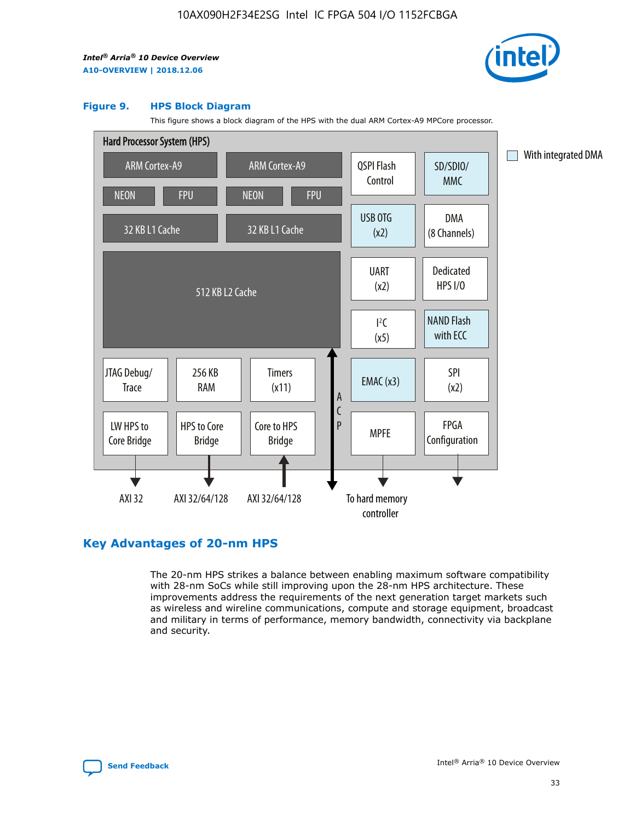

#### **Figure 9. HPS Block Diagram**

This figure shows a block diagram of the HPS with the dual ARM Cortex-A9 MPCore processor.



## **Key Advantages of 20-nm HPS**

The 20-nm HPS strikes a balance between enabling maximum software compatibility with 28-nm SoCs while still improving upon the 28-nm HPS architecture. These improvements address the requirements of the next generation target markets such as wireless and wireline communications, compute and storage equipment, broadcast and military in terms of performance, memory bandwidth, connectivity via backplane and security.

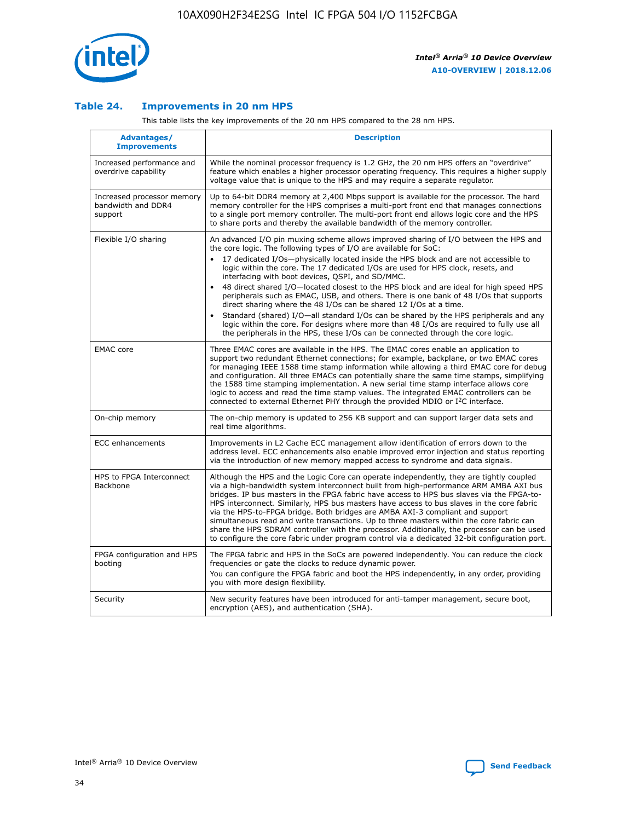

## **Table 24. Improvements in 20 nm HPS**

This table lists the key improvements of the 20 nm HPS compared to the 28 nm HPS.

| Advantages/<br><b>Improvements</b>                          | <b>Description</b>                                                                                                                                                                                                                                                                                                                                                                                                                                                                                                                                                                                                                                                                                                                                                                                                                                                                                                      |
|-------------------------------------------------------------|-------------------------------------------------------------------------------------------------------------------------------------------------------------------------------------------------------------------------------------------------------------------------------------------------------------------------------------------------------------------------------------------------------------------------------------------------------------------------------------------------------------------------------------------------------------------------------------------------------------------------------------------------------------------------------------------------------------------------------------------------------------------------------------------------------------------------------------------------------------------------------------------------------------------------|
| Increased performance and<br>overdrive capability           | While the nominal processor frequency is 1.2 GHz, the 20 nm HPS offers an "overdrive"<br>feature which enables a higher processor operating frequency. This requires a higher supply<br>voltage value that is unique to the HPS and may require a separate regulator.                                                                                                                                                                                                                                                                                                                                                                                                                                                                                                                                                                                                                                                   |
| Increased processor memory<br>bandwidth and DDR4<br>support | Up to 64-bit DDR4 memory at 2,400 Mbps support is available for the processor. The hard<br>memory controller for the HPS comprises a multi-port front end that manages connections<br>to a single port memory controller. The multi-port front end allows logic core and the HPS<br>to share ports and thereby the available bandwidth of the memory controller.                                                                                                                                                                                                                                                                                                                                                                                                                                                                                                                                                        |
| Flexible I/O sharing                                        | An advanced I/O pin muxing scheme allows improved sharing of I/O between the HPS and<br>the core logic. The following types of I/O are available for SoC:<br>17 dedicated I/Os-physically located inside the HPS block and are not accessible to<br>logic within the core. The 17 dedicated I/Os are used for HPS clock, resets, and<br>interfacing with boot devices, QSPI, and SD/MMC.<br>48 direct shared I/O-located closest to the HPS block and are ideal for high speed HPS<br>peripherals such as EMAC, USB, and others. There is one bank of 48 I/Os that supports<br>direct sharing where the 48 I/Os can be shared 12 I/Os at a time.<br>Standard (shared) I/O-all standard I/Os can be shared by the HPS peripherals and any<br>logic within the core. For designs where more than 48 I/Os are reguired to fully use all<br>the peripherals in the HPS, these I/Os can be connected through the core logic. |
| <b>EMAC</b> core                                            | Three EMAC cores are available in the HPS. The EMAC cores enable an application to<br>support two redundant Ethernet connections; for example, backplane, or two EMAC cores<br>for managing IEEE 1588 time stamp information while allowing a third EMAC core for debug<br>and configuration. All three EMACs can potentially share the same time stamps, simplifying<br>the 1588 time stamping implementation. A new serial time stamp interface allows core<br>logic to access and read the time stamp values. The integrated EMAC controllers can be<br>connected to external Ethernet PHY through the provided MDIO or I <sup>2</sup> C interface.                                                                                                                                                                                                                                                                  |
| On-chip memory                                              | The on-chip memory is updated to 256 KB support and can support larger data sets and<br>real time algorithms.                                                                                                                                                                                                                                                                                                                                                                                                                                                                                                                                                                                                                                                                                                                                                                                                           |
| <b>ECC</b> enhancements                                     | Improvements in L2 Cache ECC management allow identification of errors down to the<br>address level. ECC enhancements also enable improved error injection and status reporting<br>via the introduction of new memory mapped access to syndrome and data signals.                                                                                                                                                                                                                                                                                                                                                                                                                                                                                                                                                                                                                                                       |
| HPS to FPGA Interconnect<br>Backbone                        | Although the HPS and the Logic Core can operate independently, they are tightly coupled<br>via a high-bandwidth system interconnect built from high-performance ARM AMBA AXI bus<br>bridges. IP bus masters in the FPGA fabric have access to HPS bus slaves via the FPGA-to-<br>HPS interconnect. Similarly, HPS bus masters have access to bus slaves in the core fabric<br>via the HPS-to-FPGA bridge. Both bridges are AMBA AXI-3 compliant and support<br>simultaneous read and write transactions. Up to three masters within the core fabric can<br>share the HPS SDRAM controller with the processor. Additionally, the processor can be used<br>to configure the core fabric under program control via a dedicated 32-bit configuration port.                                                                                                                                                                  |
| FPGA configuration and HPS<br>booting                       | The FPGA fabric and HPS in the SoCs are powered independently. You can reduce the clock<br>frequencies or gate the clocks to reduce dynamic power.<br>You can configure the FPGA fabric and boot the HPS independently, in any order, providing<br>you with more design flexibility.                                                                                                                                                                                                                                                                                                                                                                                                                                                                                                                                                                                                                                    |
| Security                                                    | New security features have been introduced for anti-tamper management, secure boot,<br>encryption (AES), and authentication (SHA).                                                                                                                                                                                                                                                                                                                                                                                                                                                                                                                                                                                                                                                                                                                                                                                      |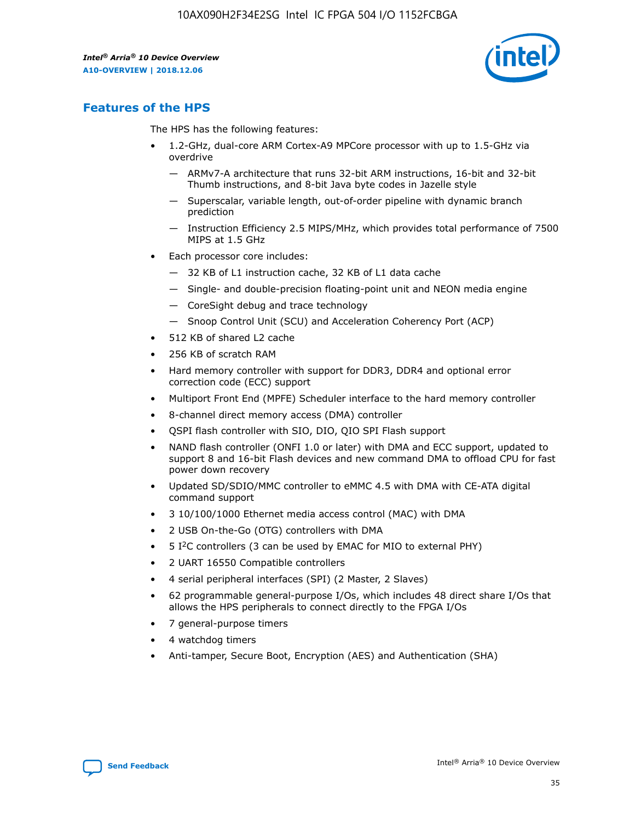

## **Features of the HPS**

The HPS has the following features:

- 1.2-GHz, dual-core ARM Cortex-A9 MPCore processor with up to 1.5-GHz via overdrive
	- ARMv7-A architecture that runs 32-bit ARM instructions, 16-bit and 32-bit Thumb instructions, and 8-bit Java byte codes in Jazelle style
	- Superscalar, variable length, out-of-order pipeline with dynamic branch prediction
	- Instruction Efficiency 2.5 MIPS/MHz, which provides total performance of 7500 MIPS at 1.5 GHz
- Each processor core includes:
	- 32 KB of L1 instruction cache, 32 KB of L1 data cache
	- Single- and double-precision floating-point unit and NEON media engine
	- CoreSight debug and trace technology
	- Snoop Control Unit (SCU) and Acceleration Coherency Port (ACP)
- 512 KB of shared L2 cache
- 256 KB of scratch RAM
- Hard memory controller with support for DDR3, DDR4 and optional error correction code (ECC) support
- Multiport Front End (MPFE) Scheduler interface to the hard memory controller
- 8-channel direct memory access (DMA) controller
- QSPI flash controller with SIO, DIO, QIO SPI Flash support
- NAND flash controller (ONFI 1.0 or later) with DMA and ECC support, updated to support 8 and 16-bit Flash devices and new command DMA to offload CPU for fast power down recovery
- Updated SD/SDIO/MMC controller to eMMC 4.5 with DMA with CE-ATA digital command support
- 3 10/100/1000 Ethernet media access control (MAC) with DMA
- 2 USB On-the-Go (OTG) controllers with DMA
- $\bullet$  5 I<sup>2</sup>C controllers (3 can be used by EMAC for MIO to external PHY)
- 2 UART 16550 Compatible controllers
- 4 serial peripheral interfaces (SPI) (2 Master, 2 Slaves)
- 62 programmable general-purpose I/Os, which includes 48 direct share I/Os that allows the HPS peripherals to connect directly to the FPGA I/Os
- 7 general-purpose timers
- 4 watchdog timers
- Anti-tamper, Secure Boot, Encryption (AES) and Authentication (SHA)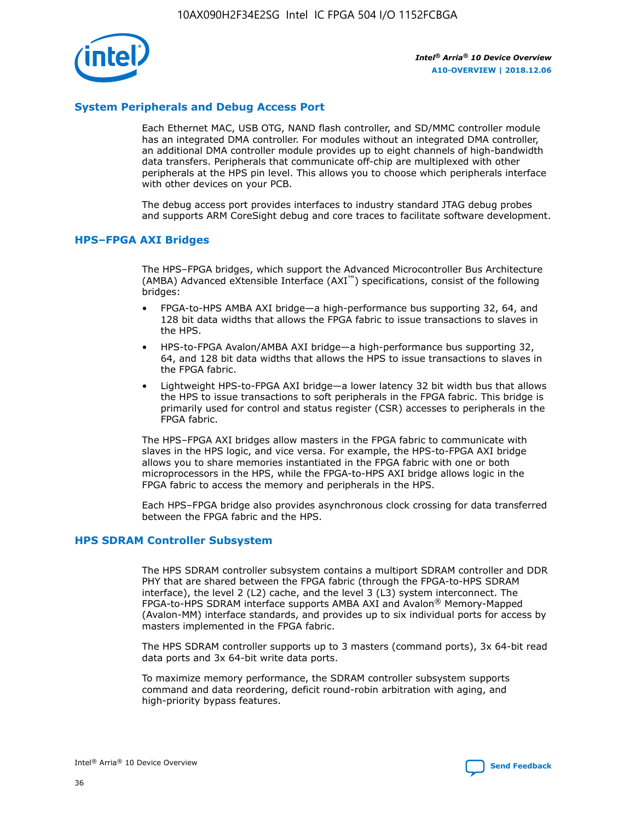

## **System Peripherals and Debug Access Port**

Each Ethernet MAC, USB OTG, NAND flash controller, and SD/MMC controller module has an integrated DMA controller. For modules without an integrated DMA controller, an additional DMA controller module provides up to eight channels of high-bandwidth data transfers. Peripherals that communicate off-chip are multiplexed with other peripherals at the HPS pin level. This allows you to choose which peripherals interface with other devices on your PCB.

The debug access port provides interfaces to industry standard JTAG debug probes and supports ARM CoreSight debug and core traces to facilitate software development.

## **HPS–FPGA AXI Bridges**

The HPS–FPGA bridges, which support the Advanced Microcontroller Bus Architecture (AMBA) Advanced eXtensible Interface (AXI™) specifications, consist of the following bridges:

- FPGA-to-HPS AMBA AXI bridge—a high-performance bus supporting 32, 64, and 128 bit data widths that allows the FPGA fabric to issue transactions to slaves in the HPS.
- HPS-to-FPGA Avalon/AMBA AXI bridge—a high-performance bus supporting 32, 64, and 128 bit data widths that allows the HPS to issue transactions to slaves in the FPGA fabric.
- Lightweight HPS-to-FPGA AXI bridge—a lower latency 32 bit width bus that allows the HPS to issue transactions to soft peripherals in the FPGA fabric. This bridge is primarily used for control and status register (CSR) accesses to peripherals in the FPGA fabric.

The HPS–FPGA AXI bridges allow masters in the FPGA fabric to communicate with slaves in the HPS logic, and vice versa. For example, the HPS-to-FPGA AXI bridge allows you to share memories instantiated in the FPGA fabric with one or both microprocessors in the HPS, while the FPGA-to-HPS AXI bridge allows logic in the FPGA fabric to access the memory and peripherals in the HPS.

Each HPS–FPGA bridge also provides asynchronous clock crossing for data transferred between the FPGA fabric and the HPS.

#### **HPS SDRAM Controller Subsystem**

The HPS SDRAM controller subsystem contains a multiport SDRAM controller and DDR PHY that are shared between the FPGA fabric (through the FPGA-to-HPS SDRAM interface), the level 2 (L2) cache, and the level 3 (L3) system interconnect. The FPGA-to-HPS SDRAM interface supports AMBA AXI and Avalon® Memory-Mapped (Avalon-MM) interface standards, and provides up to six individual ports for access by masters implemented in the FPGA fabric.

The HPS SDRAM controller supports up to 3 masters (command ports), 3x 64-bit read data ports and 3x 64-bit write data ports.

To maximize memory performance, the SDRAM controller subsystem supports command and data reordering, deficit round-robin arbitration with aging, and high-priority bypass features.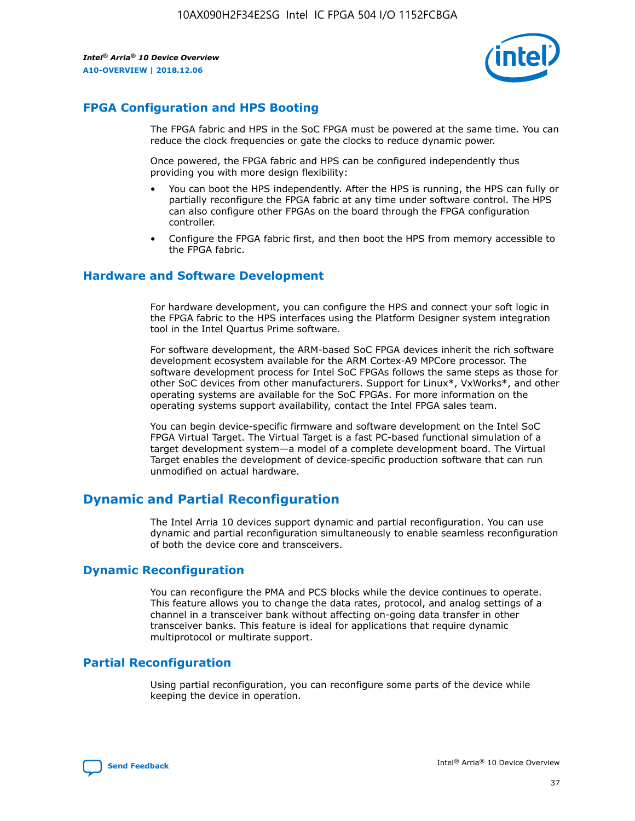

## **FPGA Configuration and HPS Booting**

The FPGA fabric and HPS in the SoC FPGA must be powered at the same time. You can reduce the clock frequencies or gate the clocks to reduce dynamic power.

Once powered, the FPGA fabric and HPS can be configured independently thus providing you with more design flexibility:

- You can boot the HPS independently. After the HPS is running, the HPS can fully or partially reconfigure the FPGA fabric at any time under software control. The HPS can also configure other FPGAs on the board through the FPGA configuration controller.
- Configure the FPGA fabric first, and then boot the HPS from memory accessible to the FPGA fabric.

## **Hardware and Software Development**

For hardware development, you can configure the HPS and connect your soft logic in the FPGA fabric to the HPS interfaces using the Platform Designer system integration tool in the Intel Quartus Prime software.

For software development, the ARM-based SoC FPGA devices inherit the rich software development ecosystem available for the ARM Cortex-A9 MPCore processor. The software development process for Intel SoC FPGAs follows the same steps as those for other SoC devices from other manufacturers. Support for Linux\*, VxWorks\*, and other operating systems are available for the SoC FPGAs. For more information on the operating systems support availability, contact the Intel FPGA sales team.

You can begin device-specific firmware and software development on the Intel SoC FPGA Virtual Target. The Virtual Target is a fast PC-based functional simulation of a target development system—a model of a complete development board. The Virtual Target enables the development of device-specific production software that can run unmodified on actual hardware.

## **Dynamic and Partial Reconfiguration**

The Intel Arria 10 devices support dynamic and partial reconfiguration. You can use dynamic and partial reconfiguration simultaneously to enable seamless reconfiguration of both the device core and transceivers.

## **Dynamic Reconfiguration**

You can reconfigure the PMA and PCS blocks while the device continues to operate. This feature allows you to change the data rates, protocol, and analog settings of a channel in a transceiver bank without affecting on-going data transfer in other transceiver banks. This feature is ideal for applications that require dynamic multiprotocol or multirate support.

## **Partial Reconfiguration**

Using partial reconfiguration, you can reconfigure some parts of the device while keeping the device in operation.

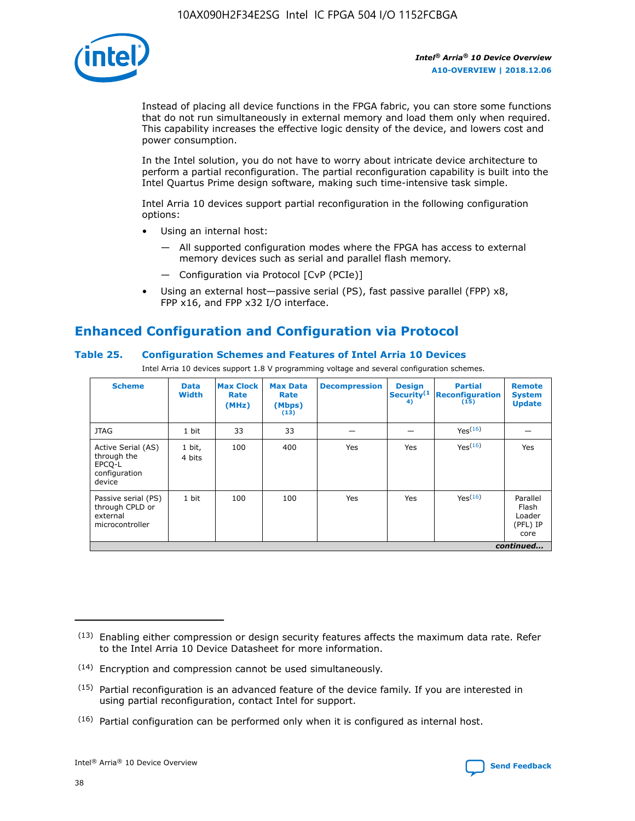

Instead of placing all device functions in the FPGA fabric, you can store some functions that do not run simultaneously in external memory and load them only when required. This capability increases the effective logic density of the device, and lowers cost and power consumption.

In the Intel solution, you do not have to worry about intricate device architecture to perform a partial reconfiguration. The partial reconfiguration capability is built into the Intel Quartus Prime design software, making such time-intensive task simple.

Intel Arria 10 devices support partial reconfiguration in the following configuration options:

- Using an internal host:
	- All supported configuration modes where the FPGA has access to external memory devices such as serial and parallel flash memory.
	- Configuration via Protocol [CvP (PCIe)]
- Using an external host—passive serial (PS), fast passive parallel (FPP) x8, FPP x16, and FPP x32 I/O interface.

# **Enhanced Configuration and Configuration via Protocol**

## **Table 25. Configuration Schemes and Features of Intel Arria 10 Devices**

Intel Arria 10 devices support 1.8 V programming voltage and several configuration schemes.

| <b>Scheme</b>                                                          | <b>Data</b><br><b>Width</b> | <b>Max Clock</b><br>Rate<br>(MHz) | <b>Max Data</b><br>Rate<br>(Mbps)<br>(13) | <b>Decompression</b> | <b>Design</b><br>Security <sup>(1</sup><br>4) | <b>Partial</b><br>Reconfiguration<br>(15) | <b>Remote</b><br><b>System</b><br><b>Update</b> |
|------------------------------------------------------------------------|-----------------------------|-----------------------------------|-------------------------------------------|----------------------|-----------------------------------------------|-------------------------------------------|-------------------------------------------------|
| <b>JTAG</b>                                                            | 1 bit                       | 33                                | 33                                        |                      |                                               | Yes <sup>(16)</sup>                       |                                                 |
| Active Serial (AS)<br>through the<br>EPCO-L<br>configuration<br>device | 1 bit,<br>4 bits            | 100                               | 400                                       | Yes                  | Yes                                           | $Y_{PS}(16)$                              | Yes                                             |
| Passive serial (PS)<br>through CPLD or<br>external<br>microcontroller  | 1 bit                       | 100                               | 100                                       | Yes                  | Yes                                           | Yes(16)                                   | Parallel<br>Flash<br>Loader<br>(PFL) IP<br>core |
|                                                                        | continued                   |                                   |                                           |                      |                                               |                                           |                                                 |

<sup>(13)</sup> Enabling either compression or design security features affects the maximum data rate. Refer to the Intel Arria 10 Device Datasheet for more information.

<sup>(14)</sup> Encryption and compression cannot be used simultaneously.

 $<sup>(15)</sup>$  Partial reconfiguration is an advanced feature of the device family. If you are interested in</sup> using partial reconfiguration, contact Intel for support.

 $(16)$  Partial configuration can be performed only when it is configured as internal host.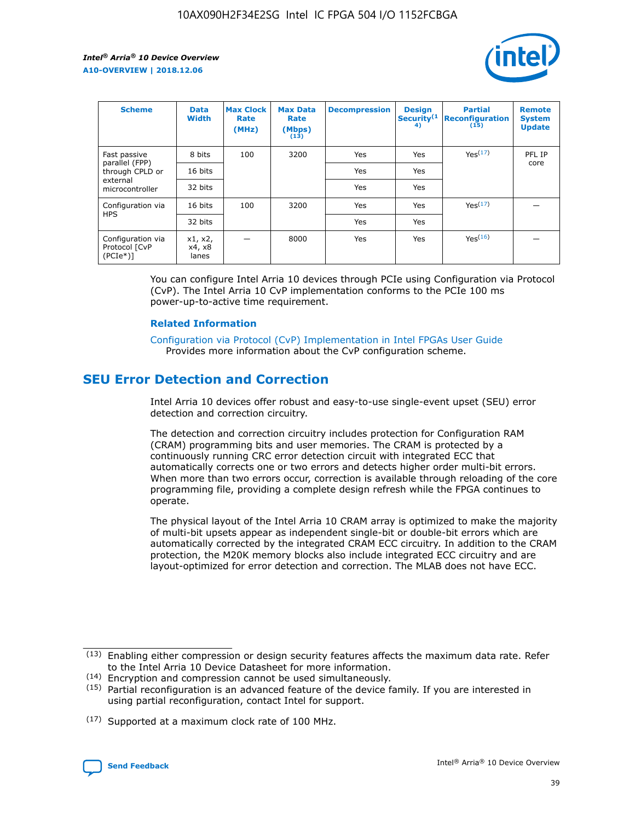

| <b>Scheme</b>                                    | <b>Data</b><br><b>Width</b> | <b>Max Clock</b><br>Rate<br>(MHz) | <b>Max Data</b><br>Rate<br>(Mbps)<br>(13) | <b>Decompression</b> | <b>Design</b><br>Security <sup>(1</sup><br>4) | <b>Partial</b><br><b>Reconfiguration</b><br>(15) | <b>Remote</b><br><b>System</b><br><b>Update</b> |
|--------------------------------------------------|-----------------------------|-----------------------------------|-------------------------------------------|----------------------|-----------------------------------------------|--------------------------------------------------|-------------------------------------------------|
| Fast passive                                     | 8 bits                      | 100                               | 3200                                      | Yes                  | Yes                                           | Yes(17)                                          | PFL IP                                          |
| parallel (FPP)<br>through CPLD or                | 16 bits                     |                                   |                                           | Yes                  | Yes                                           |                                                  | core                                            |
| external<br>microcontroller                      | 32 bits                     |                                   |                                           | Yes                  | Yes                                           |                                                  |                                                 |
| Configuration via                                | 16 bits                     | 100                               | 3200                                      | Yes                  | Yes                                           | Yes <sup>(17)</sup>                              |                                                 |
| <b>HPS</b>                                       | 32 bits                     |                                   |                                           | Yes                  | Yes                                           |                                                  |                                                 |
| Configuration via<br>Protocol [CvP<br>$(PCIe^*)$ | x1, x2,<br>x4, x8<br>lanes  |                                   | 8000                                      | Yes                  | Yes                                           | Yes <sup>(16)</sup>                              |                                                 |

You can configure Intel Arria 10 devices through PCIe using Configuration via Protocol (CvP). The Intel Arria 10 CvP implementation conforms to the PCIe 100 ms power-up-to-active time requirement.

#### **Related Information**

[Configuration via Protocol \(CvP\) Implementation in Intel FPGAs User Guide](https://www.intel.com/content/www/us/en/programmable/documentation/dsu1441819344145.html#dsu1442269728522) Provides more information about the CvP configuration scheme.

# **SEU Error Detection and Correction**

Intel Arria 10 devices offer robust and easy-to-use single-event upset (SEU) error detection and correction circuitry.

The detection and correction circuitry includes protection for Configuration RAM (CRAM) programming bits and user memories. The CRAM is protected by a continuously running CRC error detection circuit with integrated ECC that automatically corrects one or two errors and detects higher order multi-bit errors. When more than two errors occur, correction is available through reloading of the core programming file, providing a complete design refresh while the FPGA continues to operate.

The physical layout of the Intel Arria 10 CRAM array is optimized to make the majority of multi-bit upsets appear as independent single-bit or double-bit errors which are automatically corrected by the integrated CRAM ECC circuitry. In addition to the CRAM protection, the M20K memory blocks also include integrated ECC circuitry and are layout-optimized for error detection and correction. The MLAB does not have ECC.

<sup>(17)</sup> Supported at a maximum clock rate of 100 MHz.



 $(13)$  Enabling either compression or design security features affects the maximum data rate. Refer to the Intel Arria 10 Device Datasheet for more information.

<sup>(14)</sup> Encryption and compression cannot be used simultaneously.

 $(15)$  Partial reconfiguration is an advanced feature of the device family. If you are interested in using partial reconfiguration, contact Intel for support.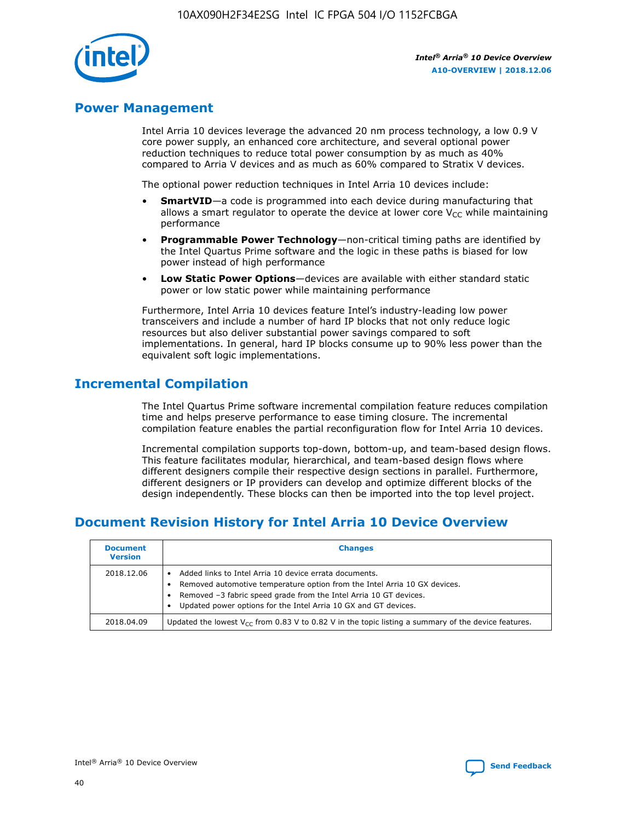

## **Power Management**

Intel Arria 10 devices leverage the advanced 20 nm process technology, a low 0.9 V core power supply, an enhanced core architecture, and several optional power reduction techniques to reduce total power consumption by as much as 40% compared to Arria V devices and as much as 60% compared to Stratix V devices.

The optional power reduction techniques in Intel Arria 10 devices include:

- **SmartVID**—a code is programmed into each device during manufacturing that allows a smart regulator to operate the device at lower core  $V_{CC}$  while maintaining performance
- **Programmable Power Technology**—non-critical timing paths are identified by the Intel Quartus Prime software and the logic in these paths is biased for low power instead of high performance
- **Low Static Power Options**—devices are available with either standard static power or low static power while maintaining performance

Furthermore, Intel Arria 10 devices feature Intel's industry-leading low power transceivers and include a number of hard IP blocks that not only reduce logic resources but also deliver substantial power savings compared to soft implementations. In general, hard IP blocks consume up to 90% less power than the equivalent soft logic implementations.

# **Incremental Compilation**

The Intel Quartus Prime software incremental compilation feature reduces compilation time and helps preserve performance to ease timing closure. The incremental compilation feature enables the partial reconfiguration flow for Intel Arria 10 devices.

Incremental compilation supports top-down, bottom-up, and team-based design flows. This feature facilitates modular, hierarchical, and team-based design flows where different designers compile their respective design sections in parallel. Furthermore, different designers or IP providers can develop and optimize different blocks of the design independently. These blocks can then be imported into the top level project.

# **Document Revision History for Intel Arria 10 Device Overview**

| <b>Document</b><br><b>Version</b> | <b>Changes</b>                                                                                                                                                                                                                                                              |
|-----------------------------------|-----------------------------------------------------------------------------------------------------------------------------------------------------------------------------------------------------------------------------------------------------------------------------|
| 2018.12.06                        | Added links to Intel Arria 10 device errata documents.<br>Removed automotive temperature option from the Intel Arria 10 GX devices.<br>Removed -3 fabric speed grade from the Intel Arria 10 GT devices.<br>Updated power options for the Intel Arria 10 GX and GT devices. |
| 2018.04.09                        | Updated the lowest $V_{CC}$ from 0.83 V to 0.82 V in the topic listing a summary of the device features.                                                                                                                                                                    |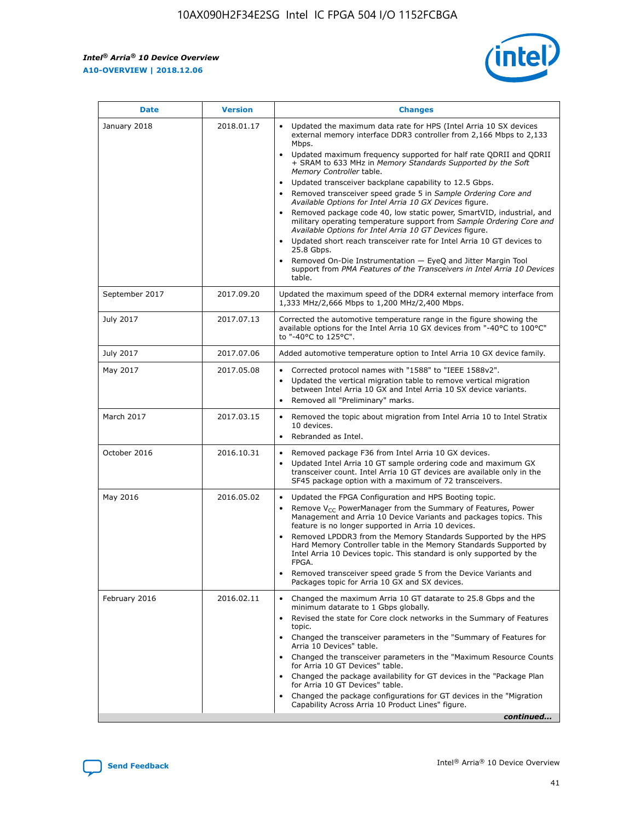*Intel® Arria® 10 Device Overview* **A10-OVERVIEW | 2018.12.06**



| <b>Date</b>    | <b>Version</b> | <b>Changes</b>                                                                                                                                                                                                                                                                                                                                                                                                                                                                                                                                                                                                                                                                                                                                                                                                                                                                                                                                                                         |
|----------------|----------------|----------------------------------------------------------------------------------------------------------------------------------------------------------------------------------------------------------------------------------------------------------------------------------------------------------------------------------------------------------------------------------------------------------------------------------------------------------------------------------------------------------------------------------------------------------------------------------------------------------------------------------------------------------------------------------------------------------------------------------------------------------------------------------------------------------------------------------------------------------------------------------------------------------------------------------------------------------------------------------------|
| January 2018   | 2018.01.17     | Updated the maximum data rate for HPS (Intel Arria 10 SX devices<br>external memory interface DDR3 controller from 2,166 Mbps to 2,133<br>Mbps.<br>Updated maximum frequency supported for half rate QDRII and QDRII<br>+ SRAM to 633 MHz in Memory Standards Supported by the Soft<br>Memory Controller table.<br>Updated transceiver backplane capability to 12.5 Gbps.<br>$\bullet$<br>Removed transceiver speed grade 5 in Sample Ordering Core and<br>$\bullet$<br>Available Options for Intel Arria 10 GX Devices figure.<br>Removed package code 40, low static power, SmartVID, industrial, and<br>military operating temperature support from Sample Ordering Core and<br>Available Options for Intel Arria 10 GT Devices figure.<br>Updated short reach transceiver rate for Intel Arria 10 GT devices to<br>25.8 Gbps.<br>Removed On-Die Instrumentation - EyeQ and Jitter Margin Tool<br>support from PMA Features of the Transceivers in Intel Arria 10 Devices<br>table. |
| September 2017 | 2017.09.20     | Updated the maximum speed of the DDR4 external memory interface from<br>1,333 MHz/2,666 Mbps to 1,200 MHz/2,400 Mbps.                                                                                                                                                                                                                                                                                                                                                                                                                                                                                                                                                                                                                                                                                                                                                                                                                                                                  |
| July 2017      | 2017.07.13     | Corrected the automotive temperature range in the figure showing the<br>available options for the Intel Arria 10 GX devices from "-40°C to 100°C"<br>to "-40°C to 125°C".                                                                                                                                                                                                                                                                                                                                                                                                                                                                                                                                                                                                                                                                                                                                                                                                              |
| July 2017      | 2017.07.06     | Added automotive temperature option to Intel Arria 10 GX device family.                                                                                                                                                                                                                                                                                                                                                                                                                                                                                                                                                                                                                                                                                                                                                                                                                                                                                                                |
| May 2017       | 2017.05.08     | Corrected protocol names with "1588" to "IEEE 1588v2".<br>$\bullet$<br>Updated the vertical migration table to remove vertical migration<br>$\bullet$<br>between Intel Arria 10 GX and Intel Arria 10 SX device variants.<br>Removed all "Preliminary" marks.<br>$\bullet$                                                                                                                                                                                                                                                                                                                                                                                                                                                                                                                                                                                                                                                                                                             |
| March 2017     | 2017.03.15     | Removed the topic about migration from Intel Arria 10 to Intel Stratix<br>$\bullet$<br>10 devices.<br>Rebranded as Intel.<br>$\bullet$                                                                                                                                                                                                                                                                                                                                                                                                                                                                                                                                                                                                                                                                                                                                                                                                                                                 |
| October 2016   | 2016.10.31     | Removed package F36 from Intel Arria 10 GX devices.<br>Updated Intel Arria 10 GT sample ordering code and maximum GX<br>$\bullet$<br>transceiver count. Intel Arria 10 GT devices are available only in the<br>SF45 package option with a maximum of 72 transceivers.                                                                                                                                                                                                                                                                                                                                                                                                                                                                                                                                                                                                                                                                                                                  |
| May 2016       | 2016.05.02     | Updated the FPGA Configuration and HPS Booting topic.<br>$\bullet$<br>Remove V <sub>CC</sub> PowerManager from the Summary of Features, Power<br>Management and Arria 10 Device Variants and packages topics. This<br>feature is no longer supported in Arria 10 devices.<br>Removed LPDDR3 from the Memory Standards Supported by the HPS<br>Hard Memory Controller table in the Memory Standards Supported by<br>Intel Arria 10 Devices topic. This standard is only supported by the<br>FPGA.<br>Removed transceiver speed grade 5 from the Device Variants and<br>Packages topic for Arria 10 GX and SX devices.                                                                                                                                                                                                                                                                                                                                                                   |
| February 2016  | 2016.02.11     | Changed the maximum Arria 10 GT datarate to 25.8 Gbps and the<br>minimum datarate to 1 Gbps globally.<br>Revised the state for Core clock networks in the Summary of Features<br>$\bullet$<br>topic.<br>Changed the transceiver parameters in the "Summary of Features for<br>$\bullet$<br>Arria 10 Devices" table.<br>• Changed the transceiver parameters in the "Maximum Resource Counts<br>for Arria 10 GT Devices" table.<br>Changed the package availability for GT devices in the "Package Plan<br>for Arria 10 GT Devices" table.<br>Changed the package configurations for GT devices in the "Migration"<br>Capability Across Arria 10 Product Lines" figure.<br>continued                                                                                                                                                                                                                                                                                                    |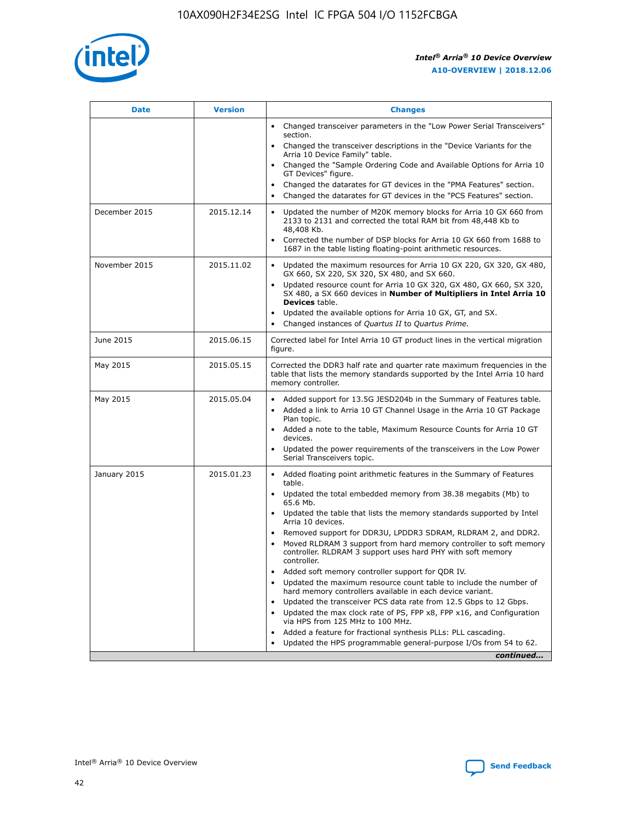

| <b>Date</b>   | <b>Version</b> | <b>Changes</b>                                                                                                                                                               |
|---------------|----------------|------------------------------------------------------------------------------------------------------------------------------------------------------------------------------|
|               |                | • Changed transceiver parameters in the "Low Power Serial Transceivers"<br>section.                                                                                          |
|               |                | • Changed the transceiver descriptions in the "Device Variants for the<br>Arria 10 Device Family" table.                                                                     |
|               |                | Changed the "Sample Ordering Code and Available Options for Arria 10<br>$\bullet$<br>GT Devices" figure.                                                                     |
|               |                | Changed the datarates for GT devices in the "PMA Features" section.                                                                                                          |
|               |                | Changed the datarates for GT devices in the "PCS Features" section.<br>$\bullet$                                                                                             |
| December 2015 | 2015.12.14     | Updated the number of M20K memory blocks for Arria 10 GX 660 from<br>2133 to 2131 and corrected the total RAM bit from 48,448 Kb to<br>48,408 Kb.                            |
|               |                | Corrected the number of DSP blocks for Arria 10 GX 660 from 1688 to<br>1687 in the table listing floating-point arithmetic resources.                                        |
| November 2015 | 2015.11.02     | Updated the maximum resources for Arria 10 GX 220, GX 320, GX 480,<br>$\bullet$<br>GX 660, SX 220, SX 320, SX 480, and SX 660.                                               |
|               |                | • Updated resource count for Arria 10 GX 320, GX 480, GX 660, SX 320,<br>SX 480, a SX 660 devices in Number of Multipliers in Intel Arria 10<br><b>Devices</b> table.        |
|               |                | Updated the available options for Arria 10 GX, GT, and SX.                                                                                                                   |
|               |                | Changed instances of Quartus II to Quartus Prime.<br>$\bullet$                                                                                                               |
| June 2015     | 2015.06.15     | Corrected label for Intel Arria 10 GT product lines in the vertical migration<br>figure.                                                                                     |
| May 2015      | 2015.05.15     | Corrected the DDR3 half rate and quarter rate maximum frequencies in the<br>table that lists the memory standards supported by the Intel Arria 10 hard<br>memory controller. |
| May 2015      | 2015.05.04     | • Added support for 13.5G JESD204b in the Summary of Features table.                                                                                                         |
|               |                | • Added a link to Arria 10 GT Channel Usage in the Arria 10 GT Package<br>Plan topic.                                                                                        |
|               |                | • Added a note to the table, Maximum Resource Counts for Arria 10 GT<br>devices.                                                                                             |
|               |                | • Updated the power requirements of the transceivers in the Low Power<br>Serial Transceivers topic.                                                                          |
| January 2015  | 2015.01.23     | • Added floating point arithmetic features in the Summary of Features<br>table.                                                                                              |
|               |                | • Updated the total embedded memory from 38.38 megabits (Mb) to<br>65.6 Mb.                                                                                                  |
|               |                | • Updated the table that lists the memory standards supported by Intel<br>Arria 10 devices.                                                                                  |
|               |                | Removed support for DDR3U, LPDDR3 SDRAM, RLDRAM 2, and DDR2.                                                                                                                 |
|               |                | Moved RLDRAM 3 support from hard memory controller to soft memory<br>controller. RLDRAM 3 support uses hard PHY with soft memory<br>controller.                              |
|               |                | Added soft memory controller support for QDR IV.<br>٠                                                                                                                        |
|               |                | Updated the maximum resource count table to include the number of<br>hard memory controllers available in each device variant.                                               |
|               |                | Updated the transceiver PCS data rate from 12.5 Gbps to 12 Gbps.<br>$\bullet$                                                                                                |
|               |                | Updated the max clock rate of PS, FPP x8, FPP x16, and Configuration<br>via HPS from 125 MHz to 100 MHz.                                                                     |
|               |                | Added a feature for fractional synthesis PLLs: PLL cascading.                                                                                                                |
|               |                | Updated the HPS programmable general-purpose I/Os from 54 to 62.<br>$\bullet$                                                                                                |
|               |                | continued                                                                                                                                                                    |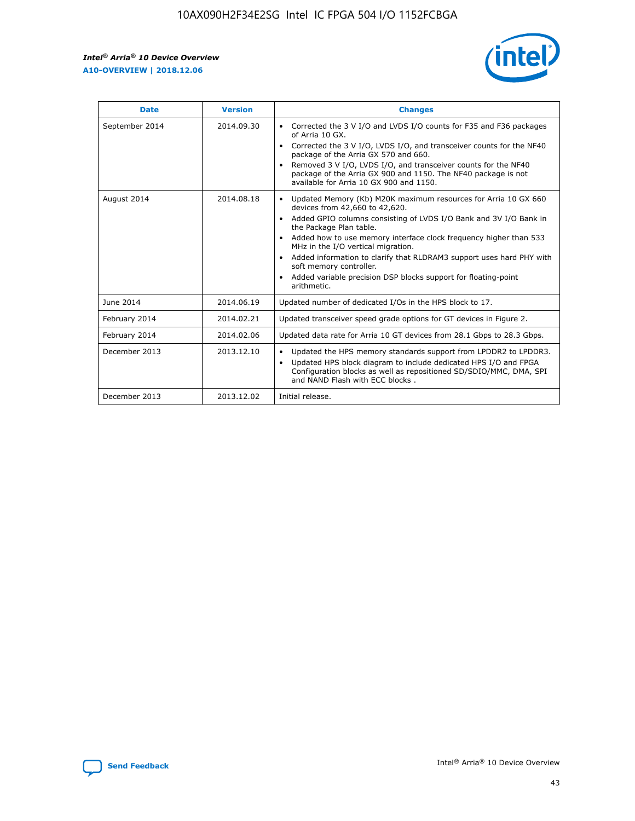r



| <b>Date</b>    | <b>Version</b> | <b>Changes</b>                                                                                                                                                                                                                                                                                                                                                                                                                                                                                                                                      |
|----------------|----------------|-----------------------------------------------------------------------------------------------------------------------------------------------------------------------------------------------------------------------------------------------------------------------------------------------------------------------------------------------------------------------------------------------------------------------------------------------------------------------------------------------------------------------------------------------------|
| September 2014 | 2014.09.30     | Corrected the 3 V I/O and LVDS I/O counts for F35 and F36 packages<br>$\bullet$<br>of Arria 10 GX.<br>Corrected the 3 V I/O, LVDS I/O, and transceiver counts for the NF40<br>$\bullet$<br>package of the Arria GX 570 and 660.<br>Removed 3 V I/O, LVDS I/O, and transceiver counts for the NF40<br>package of the Arria GX 900 and 1150. The NF40 package is not<br>available for Arria 10 GX 900 and 1150.                                                                                                                                       |
| August 2014    | 2014.08.18     | Updated Memory (Kb) M20K maximum resources for Arria 10 GX 660<br>devices from 42,660 to 42,620.<br>Added GPIO columns consisting of LVDS I/O Bank and 3V I/O Bank in<br>$\bullet$<br>the Package Plan table.<br>Added how to use memory interface clock frequency higher than 533<br>$\bullet$<br>MHz in the I/O vertical migration.<br>Added information to clarify that RLDRAM3 support uses hard PHY with<br>$\bullet$<br>soft memory controller.<br>Added variable precision DSP blocks support for floating-point<br>$\bullet$<br>arithmetic. |
| June 2014      | 2014.06.19     | Updated number of dedicated I/Os in the HPS block to 17.                                                                                                                                                                                                                                                                                                                                                                                                                                                                                            |
| February 2014  | 2014.02.21     | Updated transceiver speed grade options for GT devices in Figure 2.                                                                                                                                                                                                                                                                                                                                                                                                                                                                                 |
| February 2014  | 2014.02.06     | Updated data rate for Arria 10 GT devices from 28.1 Gbps to 28.3 Gbps.                                                                                                                                                                                                                                                                                                                                                                                                                                                                              |
| December 2013  | 2013.12.10     | Updated the HPS memory standards support from LPDDR2 to LPDDR3.<br>Updated HPS block diagram to include dedicated HPS I/O and FPGA<br>$\bullet$<br>Configuration blocks as well as repositioned SD/SDIO/MMC, DMA, SPI<br>and NAND Flash with ECC blocks.                                                                                                                                                                                                                                                                                            |
| December 2013  | 2013.12.02     | Initial release.                                                                                                                                                                                                                                                                                                                                                                                                                                                                                                                                    |